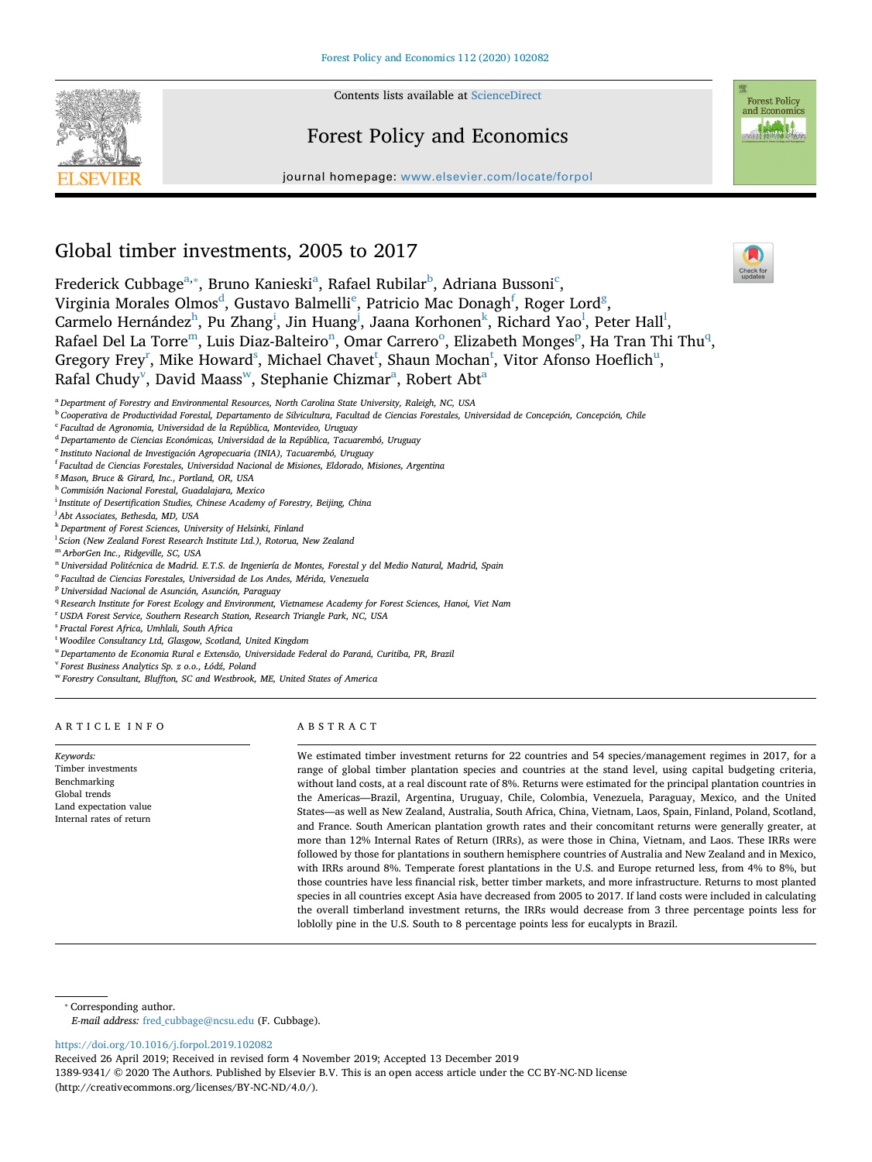

Contents lists available at [ScienceDirect](http://www.sciencedirect.com/science/journal/13899341)

# Forest Policy and Economics

journal homepage: [www.elsevier.com/locate/forpol](https://www.elsevier.com/locate/forpol)



# Global timber investments, 2005 to 2017

Frederick Cubbage<sup>[a,](#page-0-0)</sup>\*, Bruno K[a](#page-0-0)nieski<sup>a</sup>, Rafael Ru[b](#page-0-2)ilar<sup>b</sup>, Adriana Bussoni<sup>[c](#page-0-3)</sup>, Virginia Moral[e](#page-0-5)s Olmos $^{\rm d}$ , Gustavo Balmelli $^{\rm e}$ , Patricio Mac Dona[g](#page-0-7)h $^{\rm f}$ , Roger Lord $^{\rm g}$ , Carme[l](#page-0-12)o Hernández $^{\rm h}$  $^{\rm h}$  $^{\rm h}$ , Pu Zhang $^{\rm i}$  $^{\rm i}$  $^{\rm i}$ , Jin Huang $^{\rm j}$  $^{\rm j}$  $^{\rm j}$ , Jaana Korhonen $^{\rm k}$  $^{\rm k}$  $^{\rm k}$ , Richard Yao $^{\rm l}$ , Peter Hall $^{\rm l}$ , Rafael Del La Torre<sup>[m](#page-0-13)</sup>, Luis Diaz-Balteiro<sup>n</sup>, Omar Carrero<sup>o</sup>, Elizabeth M[on](#page-0-14)ges<su[p](#page-0-16)>p</sup>, Ha Tran Thi Thu<sup>[q](#page-0-17)</sup>, Gregory Frey<sup>r</sup>, Mike Howard $^{\rm s}$ , Michael Chave[t](#page-0-20) $^{\rm t}$ , Shaun Mochan $^{\rm t}$ , Vitor Afonso Hoeflich $^{\rm u}$ , R[a](#page-0-0)fal Chudy $^{\rm v}$  $^{\rm v}$  $^{\rm v}$ , David Maass $^{\rm w}$ , Stephanie Chizmar $^{\rm a}$ , Robert Abt $^{\rm a}$ 

<span id="page-0-2"></span><sup>b</sup> *Cooperativa de Productividad Forestal, Departamento de Silvicultura, Facultad de Ciencias Forestales, Universidad de Concepción, Concepción, Chile*

- <span id="page-0-5"></span><sup>e</sup> *Instituto Nacional de Investigación Agropecuaria (INIA), Tacuarembó, Uruguay*
- <span id="page-0-6"></span>f *Facultad de Ciencias Forestales, Universidad Nacional de Misiones, Eldorado, Misiones, Argentina*
- <span id="page-0-7"></span><sup>g</sup> *Mason, Bruce & Girard, Inc., Portland, OR, USA*
- <span id="page-0-8"></span><sup>h</sup> *Commisión Nacional Forestal, Guadalajara, Mexico*
- <span id="page-0-9"></span>i *Institute of Desertification Studies, Chinese Academy of Forestry, Beijing, China*
- <span id="page-0-10"></span>j *Abt Associates, Bethesda, MD, USA*
- <span id="page-0-11"></span><sup>k</sup> *Department of Forest Sciences, University of Helsinki, Finland*
- <span id="page-0-12"></span>l *Scion (New Zealand Forest Research Institute Ltd.), Rotorua, New Zealand*
- <span id="page-0-13"></span><sup>m</sup> *ArborGen Inc., Ridgeville, SC, USA*
- <span id="page-0-14"></span><sup>n</sup> *Universidad Politécnica de Madrid. E.T.S. de Ingeniería de Montes, Forestal y del Medio Natural, Madrid, Spain*
- <span id="page-0-15"></span><sup>o</sup> *Facultad de Ciencias Forestales, Universidad de Los Andes, Mérida, Venezuela*
- <span id="page-0-16"></span><sup>p</sup> *Universidad Nacional de Asunción, Asunción, Paraguay*
- <span id="page-0-17"></span><sup>q</sup> *Research Institute for Forest Ecology and Environment, Vietnamese Academy for Forest Sciences, Hanoi, Viet Nam*
- <span id="page-0-18"></span>r *USDA Forest Service, Southern Research Station, Research Triangle Park, NC, USA*
- <span id="page-0-19"></span>s *Fractal Forest Africa, Umhlali, South Africa*
- <span id="page-0-20"></span>t *Woodilee Consultancy Ltd, Glasgow, Scotland, United Kingdom*
- <span id="page-0-21"></span><sup>u</sup> *Departamento de Economia Rural e Extensão, Universidade Federal do Paraná, Curitiba, PR, Brazil*
- <span id="page-0-22"></span><sup>v</sup> *Forest Business Analytics Sp. z o.o., Łódź, Poland*
- <span id="page-0-23"></span><sup>w</sup> *Forestry Consultant, Bluffton, SC and Westbrook, ME, United States of America*

#### ARTICLE INFO

*Keywords:* Timber investments Benchmarking Global trends Land expectation value Internal rates of return

# ABSTRACT

We estimated timber investment returns for 22 countries and 54 species/management regimes in 2017, for a range of global timber plantation species and countries at the stand level, using capital budgeting criteria, without land costs, at a real discount rate of 8%. Returns were estimated for the principal plantation countries in the Americas—Brazil, Argentina, Uruguay, Chile, Colombia, Venezuela, Paraguay, Mexico, and the United States—as well as New Zealand, Australia, South Africa, China, Vietnam, Laos, Spain, Finland, Poland, Scotland, and France. South American plantation growth rates and their concomitant returns were generally greater, at more than 12% Internal Rates of Return (IRRs), as were those in China, Vietnam, and Laos. These IRRs were followed by those for plantations in southern hemisphere countries of Australia and New Zealand and in Mexico, with IRRs around 8%. Temperate forest plantations in the U.S. and Europe returned less, from 4% to 8%, but those countries have less financial risk, better timber markets, and more infrastructure. Returns to most planted species in all countries except Asia have decreased from 2005 to 2017. If land costs were included in calculating the overall timberland investment returns, the IRRs would decrease from 3 three percentage points less for loblolly pine in the U.S. South to 8 percentage points less for eucalypts in Brazil.

<span id="page-0-1"></span>⁎ Corresponding author. *E-mail address:* [fred\\_cubbage@ncsu.edu](mailto:fred_cubbage@ncsu.edu) (F. Cubbage).

<https://doi.org/10.1016/j.forpol.2019.102082>

Received 26 April 2019; Received in revised form 4 November 2019; Accepted 13 December 2019

1389-9341/ © 2020 The Authors. Published by Elsevier B.V. This is an open access article under the CC BY-NC-ND license (http://creativecommons.org/licenses/BY-NC-ND/4.0/).

 $\frac{N}{2}$ 

<span id="page-0-0"></span><sup>a</sup> *Department of Forestry and Environmental Resources, North Carolina State University, Raleigh, NC, USA*

<span id="page-0-3"></span><sup>c</sup> *Facultad de Agronomia, Universidad de la República, Montevideo, Uruguay*

<span id="page-0-4"></span><sup>d</sup> *Departamento de Ciencias Económicas, Universidad de la República, Tacuarembó, Uruguay*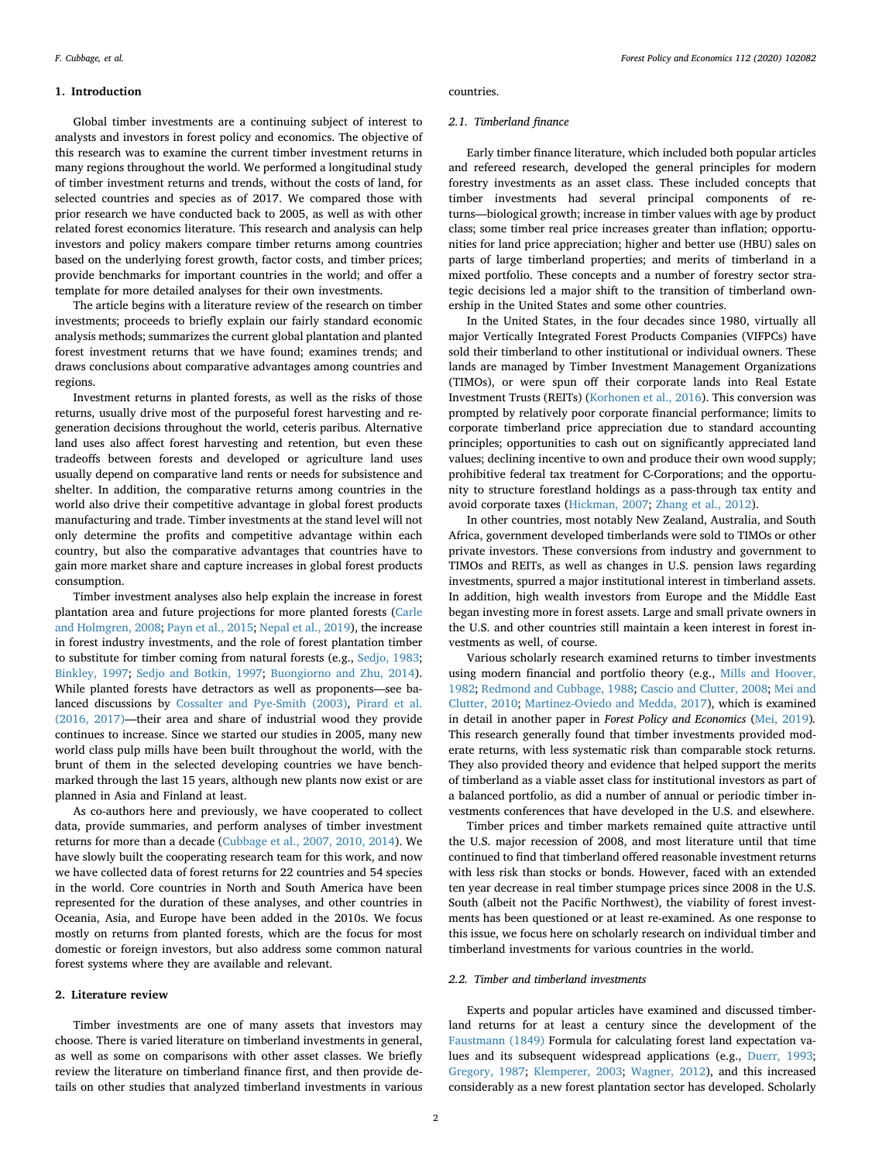#### **1. Introduction**

Global timber investments are a continuing subject of interest to analysts and investors in forest policy and economics. The objective of this research was to examine the current timber investment returns in many regions throughout the world. We performed a longitudinal study of timber investment returns and trends, without the costs of land, for selected countries and species as of 2017. We compared those with prior research we have conducted back to 2005, as well as with other related forest economics literature. This research and analysis can help investors and policy makers compare timber returns among countries based on the underlying forest growth, factor costs, and timber prices; provide benchmarks for important countries in the world; and offer a template for more detailed analyses for their own investments.

The article begins with a literature review of the research on timber investments; proceeds to briefly explain our fairly standard economic analysis methods; summarizes the current global plantation and planted forest investment returns that we have found; examines trends; and draws conclusions about comparative advantages among countries and regions.

Investment returns in planted forests, as well as the risks of those returns, usually drive most of the purposeful forest harvesting and regeneration decisions throughout the world, ceteris paribus. Alternative land uses also affect forest harvesting and retention, but even these tradeoffs between forests and developed or agriculture land uses usually depend on comparative land rents or needs for subsistence and shelter. In addition, the comparative returns among countries in the world also drive their competitive advantage in global forest products manufacturing and trade. Timber investments at the stand level will not only determine the profits and competitive advantage within each country, but also the comparative advantages that countries have to gain more market share and capture increases in global forest products consumption.

Timber investment analyses also help explain the increase in forest plantation area and future projections for more planted forests [\(Carle](#page-10-0) [and Holmgren, 2008](#page-10-0); [Payn et al., 2015](#page-11-0); [Nepal et al., 2019](#page-11-1)), the increase in forest industry investments, and the role of forest plantation timber to substitute for timber coming from natural forests (e.g., [Sedjo, 1983](#page-11-2); [Binkley, 1997;](#page-10-1) [Sedjo and Botkin, 1997](#page-11-3); [Buongiorno and Zhu, 2014](#page-10-2)). While planted forests have detractors as well as proponents—see balanced discussions by [Cossalter and Pye-Smith \(2003\)](#page-10-3), [Pirard et al.](#page-11-4) [\(2016, 2017\)](#page-11-4)—their area and share of industrial wood they provide continues to increase. Since we started our studies in 2005, many new world class pulp mills have been built throughout the world, with the brunt of them in the selected developing countries we have benchmarked through the last 15 years, although new plants now exist or are planned in Asia and Finland at least.

As co-authors here and previously, we have cooperated to collect data, provide summaries, and perform analyses of timber investment returns for more than a decade [\(Cubbage et al., 2007, 2010, 2014\)](#page-10-4). We have slowly built the cooperating research team for this work, and now we have collected data of forest returns for 22 countries and 54 species in the world. Core countries in North and South America have been represented for the duration of these analyses, and other countries in Oceania, Asia, and Europe have been added in the 2010s. We focus mostly on returns from planted forests, which are the focus for most domestic or foreign investors, but also address some common natural forest systems where they are available and relevant.

# **2. Literature review**

Timber investments are one of many assets that investors may choose. There is varied literature on timberland investments in general, as well as some on comparisons with other asset classes. We briefly review the literature on timberland finance first, and then provide details on other studies that analyzed timberland investments in various countries.

#### *2.1. Timberland finance*

Early timber finance literature, which included both popular articles and refereed research, developed the general principles for modern forestry investments as an asset class. These included concepts that timber investments had several principal components of returns—biological growth; increase in timber values with age by product class; some timber real price increases greater than inflation; opportunities for land price appreciation; higher and better use (HBU) sales on parts of large timberland properties; and merits of timberland in a mixed portfolio. These concepts and a number of forestry sector strategic decisions led a major shift to the transition of timberland ownership in the United States and some other countries.

In the United States, in the four decades since 1980, virtually all major Vertically Integrated Forest Products Companies (VIFPCs) have sold their timberland to other institutional or individual owners. These lands are managed by Timber Investment Management Organizations (TIMOs), or were spun off their corporate lands into Real Estate Investment Trusts (REITs) [\(Korhonen et al., 2016](#page-10-5)). This conversion was prompted by relatively poor corporate financial performance; limits to corporate timberland price appreciation due to standard accounting principles; opportunities to cash out on significantly appreciated land values; declining incentive to own and produce their own wood supply; prohibitive federal tax treatment for C-Corporations; and the opportunity to structure forestland holdings as a pass-through tax entity and avoid corporate taxes ([Hickman, 2007](#page-10-6); [Zhang et al., 2012](#page-11-5)).

In other countries, most notably New Zealand, Australia, and South Africa, government developed timberlands were sold to TIMOs or other private investors. These conversions from industry and government to TIMOs and REITs, as well as changes in U.S. pension laws regarding investments, spurred a major institutional interest in timberland assets. In addition, high wealth investors from Europe and the Middle East began investing more in forest assets. Large and small private owners in the U.S. and other countries still maintain a keen interest in forest investments as well, of course.

Various scholarly research examined returns to timber investments using modern financial and portfolio theory (e.g., [Mills and Hoover,](#page-11-6) [1982;](#page-11-6) [Redmond and Cubbage, 1988](#page-11-7); [Cascio and Clutter, 2008;](#page-10-7) [Mei and](#page-11-8) [Clutter, 2010;](#page-11-8) [Martinez-Oviedo and Medda, 2017](#page-10-8)), which is examined in detail in another paper in *Forest Policy and Economics* ([Mei, 2019](#page-10-9))*.* This research generally found that timber investments provided moderate returns, with less systematic risk than comparable stock returns. They also provided theory and evidence that helped support the merits of timberland as a viable asset class for institutional investors as part of a balanced portfolio, as did a number of annual or periodic timber investments conferences that have developed in the U.S. and elsewhere.

Timber prices and timber markets remained quite attractive until the U.S. major recession of 2008, and most literature until that time continued to find that timberland offered reasonable investment returns with less risk than stocks or bonds. However, faced with an extended ten year decrease in real timber stumpage prices since 2008 in the U.S. South (albeit not the Pacific Northwest), the viability of forest investments has been questioned or at least re-examined. As one response to this issue, we focus here on scholarly research on individual timber and timberland investments for various countries in the world.

## *2.2. Timber and timberland investments*

Experts and popular articles have examined and discussed timberland returns for at least a century since the development of the [Faustmann \(1849\)](#page-10-10) Formula for calculating forest land expectation values and its subsequent widespread applications (e.g., [Duerr, 1993](#page-10-11); [Gregory, 1987;](#page-10-12) [Klemperer, 2003](#page-10-13); [Wagner, 2012](#page-11-9)), and this increased considerably as a new forest plantation sector has developed. Scholarly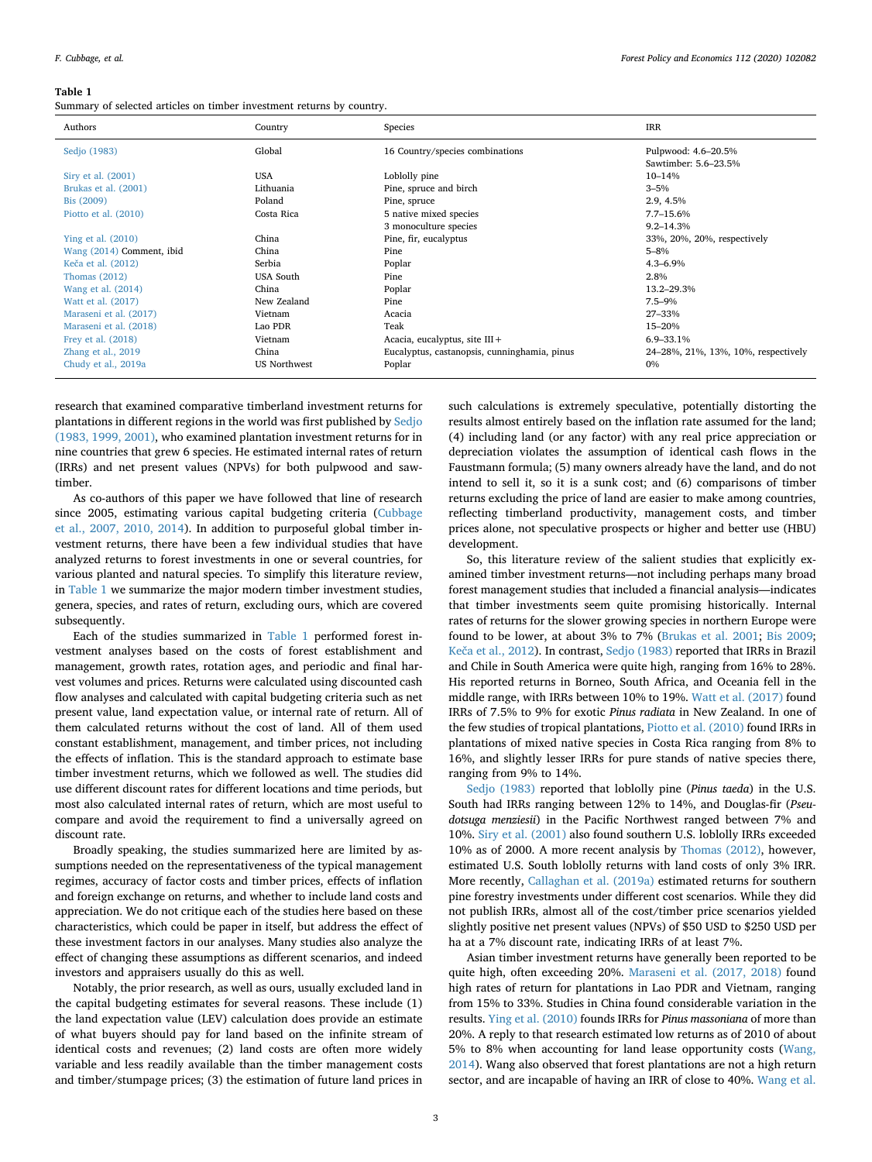#### <span id="page-2-0"></span>**Table 1**

Summary of selected articles on timber investment returns by country.

| Authors                   | Country             | Species                                      | IRR                                 |
|---------------------------|---------------------|----------------------------------------------|-------------------------------------|
| Sedjo (1983)              | Global              | 16 Country/species combinations              | Pulpwood: 4.6-20.5%                 |
|                           |                     |                                              | Sawtimber: 5.6-23.5%                |
| Siry et al. (2001)        | <b>USA</b>          | Loblolly pine                                | $10 - 14%$                          |
| Brukas et al. (2001)      | Lithuania           | Pine, spruce and birch                       | $3 - 5%$                            |
| Bis (2009)                | Poland              | Pine, spruce                                 | 2.9, 4.5%                           |
| Piotto et al. $(2010)$    | Costa Rica          | 5 native mixed species                       | $7.7 - 15.6%$                       |
|                           |                     | 3 monoculture species                        | $9.2 - 14.3%$                       |
| Ying et al. $(2010)$      | China               | Pine, fir, eucalyptus                        | 33%, 20%, 20%, respectively         |
| Wang (2014) Comment, ibid | China               | Pine                                         | $5 - 8%$                            |
| Keča et al. (2012)        | Serbia              | Poplar                                       | $4.3 - 6.9\%$                       |
| Thomas $(2012)$           | <b>USA</b> South    | Pine                                         | 2.8%                                |
| Wang et al. (2014)        | China               | Poplar                                       | 13.2-29.3%                          |
| Watt et al. (2017)        | New Zealand         | Pine                                         | $7.5 - 9\%$                         |
| Maraseni et al. (2017)    | Vietnam             | Acacia                                       | 27-33%                              |
| Maraseni et al. (2018)    | Lao PDR             | Teak                                         | 15-20%                              |
| Frey et al. (2018)        | Vietnam             | Acacia, eucalyptus, site $III +$             | 6.9-33.1%                           |
| Zhang et al., 2019        | China               | Eucalyptus, castanopsis, cunninghamia, pinus | 24-28%, 21%, 13%, 10%, respectively |
| Chudy et al., 2019a       | <b>US Northwest</b> | Poplar                                       | 0%                                  |

research that examined comparative timberland investment returns for plantations in different regions in the world was first published by [Sedjo](#page-11-2) [\(1983, 1999, 2001\),](#page-11-2) who examined plantation investment returns for in nine countries that grew 6 species. He estimated internal rates of return (IRRs) and net present values (NPVs) for both pulpwood and sawtimber.

As co-authors of this paper we have followed that line of research since 2005, estimating various capital budgeting criteria [\(Cubbage](#page-10-4) [et al., 2007, 2010, 2014\)](#page-10-4). In addition to purposeful global timber investment returns, there have been a few individual studies that have analyzed returns to forest investments in one or several countries, for various planted and natural species. To simplify this literature review, in [Table 1](#page-2-0) we summarize the major modern timber investment studies, genera, species, and rates of return, excluding ours, which are covered subsequently.

Each of the studies summarized in [Table 1](#page-2-0) performed forest investment analyses based on the costs of forest establishment and management, growth rates, rotation ages, and periodic and final harvest volumes and prices. Returns were calculated using discounted cash flow analyses and calculated with capital budgeting criteria such as net present value, land expectation value, or internal rate of return. All of them calculated returns without the cost of land. All of them used constant establishment, management, and timber prices, not including the effects of inflation. This is the standard approach to estimate base timber investment returns, which we followed as well. The studies did use different discount rates for different locations and time periods, but most also calculated internal rates of return, which are most useful to compare and avoid the requirement to find a universally agreed on discount rate.

Broadly speaking, the studies summarized here are limited by assumptions needed on the representativeness of the typical management regimes, accuracy of factor costs and timber prices, effects of inflation and foreign exchange on returns, and whether to include land costs and appreciation. We do not critique each of the studies here based on these characteristics, which could be paper in itself, but address the effect of these investment factors in our analyses. Many studies also analyze the effect of changing these assumptions as different scenarios, and indeed investors and appraisers usually do this as well.

Notably, the prior research, as well as ours, usually excluded land in the capital budgeting estimates for several reasons. These include (1) the land expectation value (LEV) calculation does provide an estimate of what buyers should pay for land based on the infinite stream of identical costs and revenues; (2) land costs are often more widely variable and less readily available than the timber management costs and timber/stumpage prices; (3) the estimation of future land prices in

such calculations is extremely speculative, potentially distorting the results almost entirely based on the inflation rate assumed for the land; (4) including land (or any factor) with any real price appreciation or depreciation violates the assumption of identical cash flows in the Faustmann formula; (5) many owners already have the land, and do not intend to sell it, so it is a sunk cost; and (6) comparisons of timber returns excluding the price of land are easier to make among countries, reflecting timberland productivity, management costs, and timber prices alone, not speculative prospects or higher and better use (HBU) development.

So, this literature review of the salient studies that explicitly examined timber investment returns—not including perhaps many broad forest management studies that included a financial analysis—indicates that timber investments seem quite promising historically. Internal rates of returns for the slower growing species in northern Europe were found to be lower, at about 3% to 7% [\(Brukas et al. 2001;](#page-10-14) [Bis 2009](#page-10-15); [Keča et al., 2012](#page-10-16)). In contrast, [Sedjo \(1983\)](#page-11-2) reported that IRRs in Brazil and Chile in South America were quite high, ranging from 16% to 28%. His reported returns in Borneo, South Africa, and Oceania fell in the middle range, with IRRs between 10% to 19%. [Watt et al. \(2017\)](#page-11-10) found IRRs of 7.5% to 9% for exotic *Pinus radiata* in New Zealand. In one of the few studies of tropical plantations, [Piotto et al. \(2010\)](#page-11-11) found IRRs in plantations of mixed native species in Costa Rica ranging from 8% to 16%, and slightly lesser IRRs for pure stands of native species there, ranging from 9% to 14%.

[Sedjo \(1983\)](#page-11-2) reported that loblolly pine (*Pinus taeda*) in the U.S. South had IRRs ranging between 12% to 14%, and Douglas-fir (*Pseudotsuga menziesii*) in the Pacific Northwest ranged between 7% and 10%. [Siry et al. \(2001\)](#page-11-12) also found southern U.S. loblolly IRRs exceeded 10% as of 2000. A more recent analysis by [Thomas \(2012\),](#page-11-13) however, estimated U.S. South loblolly returns with land costs of only 3% IRR. More recently, [Callaghan et al. \(2019a\)](#page-10-17) estimated returns for southern pine forestry investments under different cost scenarios. While they did not publish IRRs, almost all of the cost/timber price scenarios yielded slightly positive net present values (NPVs) of \$50 USD to \$250 USD per ha at a 7% discount rate, indicating IRRs of at least 7%.

Asian timber investment returns have generally been reported to be quite high, often exceeding 20%. [Maraseni et al. \(2017, 2018\)](#page-10-18) found high rates of return for plantations in Lao PDR and Vietnam, ranging from 15% to 33%. Studies in China found considerable variation in the results. [Ying et al. \(2010\)](#page-11-14) founds IRRs for *Pinus massoniana* of more than 20%. A reply to that research estimated low returns as of 2010 of about 5% to 8% when accounting for land lease opportunity costs [\(Wang,](#page-11-15) [2014\)](#page-11-15). Wang also observed that forest plantations are not a high return sector, and are incapable of having an IRR of close to 40%. [Wang et al.](#page-11-16)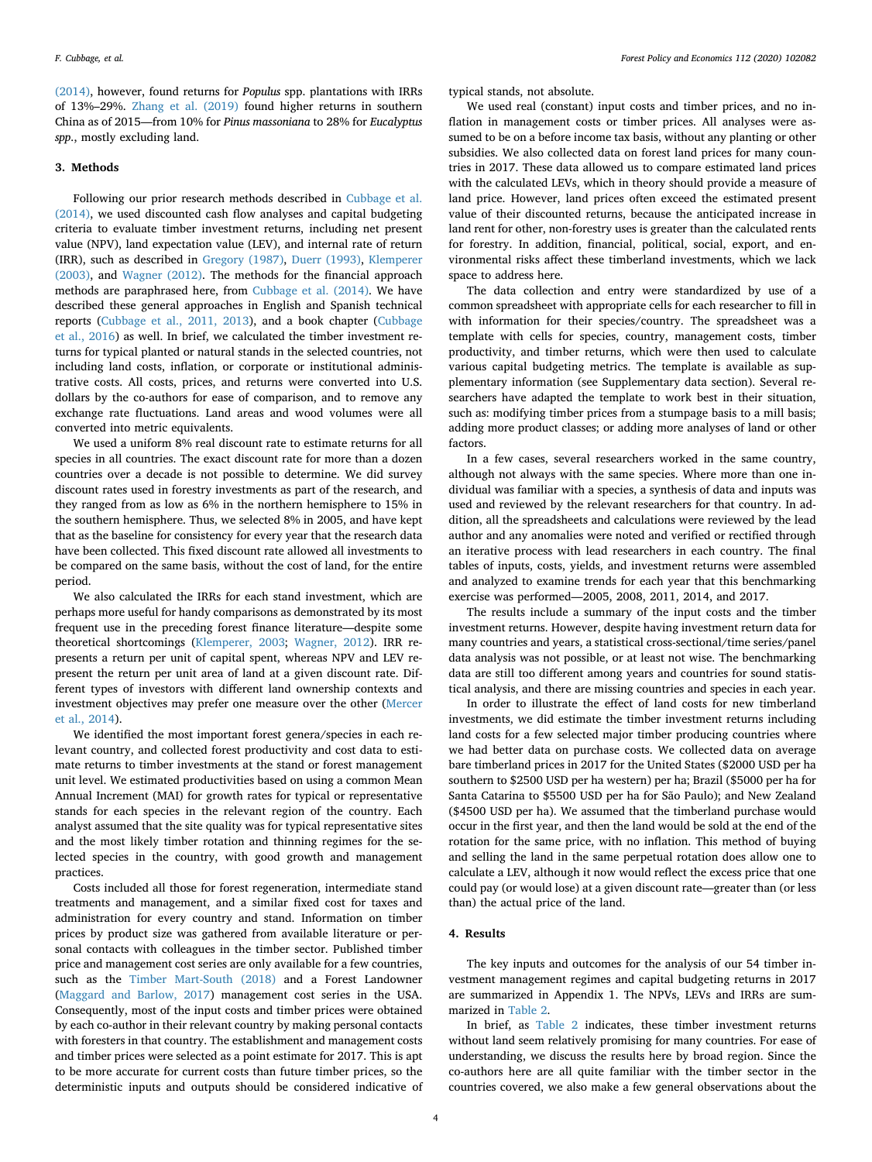[\(2014\),](#page-11-16) however, found returns for *Populus* spp. plantations with IRRs of 13%–29%. [Zhang et al. \(2019\)](#page-11-17) found higher returns in southern China as of 2015—from 10% for *Pinus massoniana* to 28% for *Eucalyptus spp*., mostly excluding land.

## **3. Methods**

Following our prior research methods described in [Cubbage et al.](#page-10-22) [\(2014\),](#page-10-22) we used discounted cash flow analyses and capital budgeting criteria to evaluate timber investment returns, including net present value (NPV), land expectation value (LEV), and internal rate of return (IRR), such as described in [Gregory \(1987\),](#page-10-12) [Duerr \(1993\),](#page-10-11) [Klemperer](#page-10-13) [\(2003\),](#page-10-13) and [Wagner \(2012\)](#page-11-9). The methods for the financial approach methods are paraphrased here, from [Cubbage et al. \(2014\).](#page-10-22) We have described these general approaches in English and Spanish technical reports [\(Cubbage et al., 2011, 2013](#page-10-23)), and a book chapter [\(Cubbage](#page-10-24) [et al., 2016\)](#page-10-24) as well. In brief, we calculated the timber investment returns for typical planted or natural stands in the selected countries, not including land costs, inflation, or corporate or institutional administrative costs. All costs, prices, and returns were converted into U.S. dollars by the co-authors for ease of comparison, and to remove any exchange rate fluctuations. Land areas and wood volumes were all converted into metric equivalents.

We used a uniform 8% real discount rate to estimate returns for all species in all countries. The exact discount rate for more than a dozen countries over a decade is not possible to determine. We did survey discount rates used in forestry investments as part of the research, and they ranged from as low as 6% in the northern hemisphere to 15% in the southern hemisphere. Thus, we selected 8% in 2005, and have kept that as the baseline for consistency for every year that the research data have been collected. This fixed discount rate allowed all investments to be compared on the same basis, without the cost of land, for the entire period.

We also calculated the IRRs for each stand investment, which are perhaps more useful for handy comparisons as demonstrated by its most frequent use in the preceding forest finance literature—despite some theoretical shortcomings ([Klemperer, 2003;](#page-10-13) [Wagner, 2012\)](#page-11-9). IRR represents a return per unit of capital spent, whereas NPV and LEV represent the return per unit area of land at a given discount rate. Different types of investors with different land ownership contexts and investment objectives may prefer one measure over the other ([Mercer](#page-11-18) [et al., 2014](#page-11-18)).

We identified the most important forest genera/species in each relevant country, and collected forest productivity and cost data to estimate returns to timber investments at the stand or forest management unit level. We estimated productivities based on using a common Mean Annual Increment (MAI) for growth rates for typical or representative stands for each species in the relevant region of the country. Each analyst assumed that the site quality was for typical representative sites and the most likely timber rotation and thinning regimes for the selected species in the country, with good growth and management practices.

Costs included all those for forest regeneration, intermediate stand treatments and management, and a similar fixed cost for taxes and administration for every country and stand. Information on timber prices by product size was gathered from available literature or personal contacts with colleagues in the timber sector. Published timber price and management cost series are only available for a few countries, such as the [Timber Mart-South \(2018\)](#page-11-19) and a Forest Landowner ([Maggard and Barlow, 2017\)](#page-10-25) management cost series in the USA. Consequently, most of the input costs and timber prices were obtained by each co-author in their relevant country by making personal contacts with foresters in that country. The establishment and management costs and timber prices were selected as a point estimate for 2017. This is apt to be more accurate for current costs than future timber prices, so the deterministic inputs and outputs should be considered indicative of typical stands, not absolute.

We used real (constant) input costs and timber prices, and no inflation in management costs or timber prices. All analyses were assumed to be on a before income tax basis, without any planting or other subsidies. We also collected data on forest land prices for many countries in 2017. These data allowed us to compare estimated land prices with the calculated LEVs, which in theory should provide a measure of land price. However, land prices often exceed the estimated present value of their discounted returns, because the anticipated increase in land rent for other, non-forestry uses is greater than the calculated rents for forestry. In addition, financial, political, social, export, and environmental risks affect these timberland investments, which we lack space to address here.

The data collection and entry were standardized by use of a common spreadsheet with appropriate cells for each researcher to fill in with information for their species/country. The spreadsheet was a template with cells for species, country, management costs, timber productivity, and timber returns, which were then used to calculate various capital budgeting metrics. The template is available as supplementary information (see Supplementary data section). Several researchers have adapted the template to work best in their situation, such as: modifying timber prices from a stumpage basis to a mill basis; adding more product classes; or adding more analyses of land or other factors.

In a few cases, several researchers worked in the same country, although not always with the same species. Where more than one individual was familiar with a species, a synthesis of data and inputs was used and reviewed by the relevant researchers for that country. In addition, all the spreadsheets and calculations were reviewed by the lead author and any anomalies were noted and verified or rectified through an iterative process with lead researchers in each country. The final tables of inputs, costs, yields, and investment returns were assembled and analyzed to examine trends for each year that this benchmarking exercise was performed—2005, 2008, 2011, 2014, and 2017.

The results include a summary of the input costs and the timber investment returns. However, despite having investment return data for many countries and years, a statistical cross-sectional/time series/panel data analysis was not possible, or at least not wise. The benchmarking data are still too different among years and countries for sound statistical analysis, and there are missing countries and species in each year.

In order to illustrate the effect of land costs for new timberland investments, we did estimate the timber investment returns including land costs for a few selected major timber producing countries where we had better data on purchase costs. We collected data on average bare timberland prices in 2017 for the United States (\$2000 USD per ha southern to \$2500 USD per ha western) per ha; Brazil (\$5000 per ha for Santa Catarina to \$5500 USD per ha for São Paulo); and New Zealand (\$4500 USD per ha). We assumed that the timberland purchase would occur in the first year, and then the land would be sold at the end of the rotation for the same price, with no inflation. This method of buying and selling the land in the same perpetual rotation does allow one to calculate a LEV, although it now would reflect the excess price that one could pay (or would lose) at a given discount rate—greater than (or less than) the actual price of the land.

# **4. Results**

The key inputs and outcomes for the analysis of our 54 timber investment management regimes and capital budgeting returns in 2017 are summarized in Appendix 1. The NPVs, LEVs and IRRs are summarized in [Table 2.](#page-4-0)

In brief, as [Table 2](#page-4-0) indicates, these timber investment returns without land seem relatively promising for many countries. For ease of understanding, we discuss the results here by broad region. Since the co-authors here are all quite familiar with the timber sector in the countries covered, we also make a few general observations about the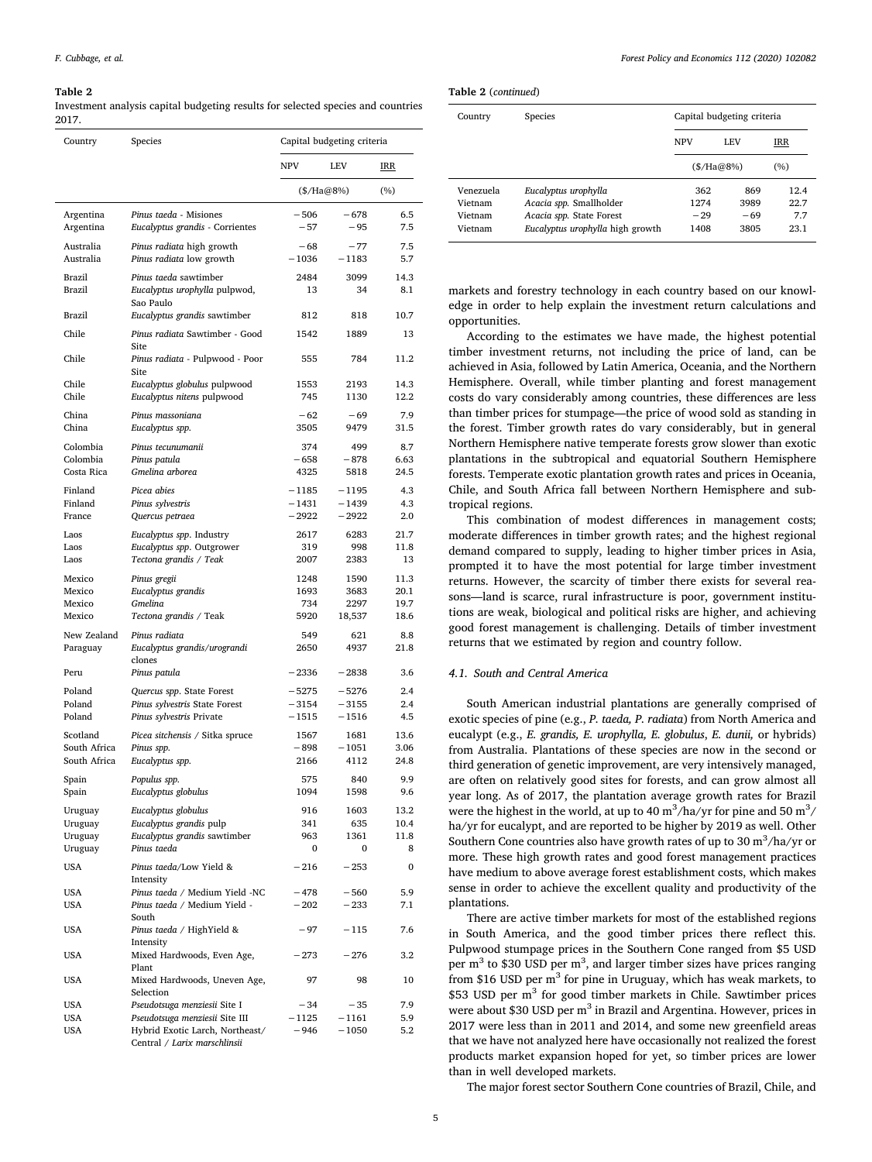#### <span id="page-4-0"></span>**Table 2**

Investment analysis capital budgeting results for selected species and countries 2017.

| Country                      | Species                                                           | Capital budgeting criteria |                  |              |  |
|------------------------------|-------------------------------------------------------------------|----------------------------|------------------|--------------|--|
|                              |                                                                   | <b>NPV</b><br>LEV          |                  | IRR          |  |
|                              |                                                                   | $(\$/Ha@8\%)$              |                  | (%)          |  |
| Argentina<br>Argentina       | Pinus taeda - Misiones<br>Eucalyptus grandis - Corrientes         | $-506$<br>$-57$            | $-678$<br>$-95$  | 6.5<br>7.5   |  |
| Australia<br>Australia       | Pinus radiata high growth<br>Pinus radiata low growth             | $-68$<br>$-1036$           | $-77$<br>$-1183$ | 7.5<br>5.7   |  |
| Brazil                       | Pinus taeda sawtimber                                             | 2484                       | 3099             | 14.3         |  |
| Brazil                       | Eucalyptus urophylla pulpwod,<br>Sao Paulo                        | 13                         | 34               | 8.1          |  |
| Brazil<br>Chile              | Eucalyptus grandis sawtimber<br>Pinus radiata Sawtimber - Good    | 812<br>1542                | 818              | 10.7         |  |
| Chile                        | <b>Site</b><br>Pinus radiata - Pulpwood - Poor                    | 555                        | 1889<br>784      | 13<br>11.2   |  |
|                              | Site                                                              |                            |                  |              |  |
| Chile<br>Chile               | Eucalyptus globulus pulpwood<br>Eucalyptus nitens pulpwood        | 1553<br>745                | 2193<br>1130     | 14.3<br>12.2 |  |
| China<br>China               | Pinus massoniana<br>Eucalyptus spp.                               | $-62$<br>3505              | $-69$<br>9479    | 7.9<br>31.5  |  |
| Colombia                     | Pinus tecunumanii                                                 | 374                        | 499              | 8.7          |  |
| Colombia<br>Costa Rica       | Pinus patula<br>Gmelina arborea                                   | $-658$<br>4325             | $-878$<br>5818   | 6.63<br>24.5 |  |
| Finland                      | Picea abies                                                       | $-1185$                    | $-1195$          | 4.3          |  |
| Finland                      | Pinus sylvestris                                                  | $-1431$                    | $-1439$          | 4.3          |  |
| France                       | Quercus petraea                                                   | $-2922$                    | $-2922$          | 2.0          |  |
| Laos                         | Eucalyptus spp. Industry                                          | 2617                       | 6283             | 21.7         |  |
| Laos<br>Laos                 | Eucalyptus spp. Outgrower<br>Tectona grandis / Teak               | 319<br>2007                | 998<br>2383      | 11.8<br>13   |  |
|                              |                                                                   |                            |                  |              |  |
| Mexico<br>Mexico             | Pinus gregii<br>Eucalyptus grandis                                | 1248<br>1693               | 1590<br>3683     | 11.3<br>20.1 |  |
| Mexico                       | Gmelina                                                           | 734                        | 2297             | 19.7         |  |
| Mexico                       | Tectona grandis / Teak                                            | 5920                       | 18,537           | 18.6         |  |
| New Zealand<br>Paraguay      | Pinus radiata<br>Eucalyptus grandis/urograndi                     | 549<br>2650                | 621<br>4937      | 8.8<br>21.8  |  |
| Peru                         | clones<br>Pinus patula                                            | $-2336$                    | $-2838$          | 3.6          |  |
| Poland                       | Quercus spp. State Forest                                         | $-5275$                    | $-5276$          | 2.4          |  |
| Poland                       | Pinus sylvestris State Forest                                     | $-3154$                    | $-3155$          | 2.4          |  |
| Poland                       | Pinus sylvestris Private                                          | - 1515                     | $-1516$          | 4.5          |  |
| Scotland                     | Picea sitchensis / Sitka spruce                                   | 1567                       | 1681             | 13.6         |  |
| South Africa<br>South Africa | Pinus spp.<br>Eucalyptus spp.                                     | $-898$<br>2166             | $-1051$<br>4112  | 3.06<br>24.8 |  |
|                              |                                                                   | 575                        | 840              | 9.9          |  |
| Spain<br>Spain               | Populus spp.<br>Eucalyptus globulus                               | 1094                       | 1598             | 9.6          |  |
| Uruguay                      | Eucalyptus globulus                                               | 916                        | 1603             | 13.2         |  |
| Uruguay                      | Eucalyptus grandis pulp                                           | 341                        | 635              | 10.4         |  |
| Uruguay                      | Eucalyptus grandis sawtimber                                      | 963                        | 1361             | 11.8         |  |
| Uruguay<br><b>USA</b>        | Pinus taeda<br>Pinus taeda/Low Yield &                            | 0<br>$-216$                | 0<br>$-253$      | 8<br>0       |  |
| USA                          | Intensity<br>Pinus taeda / Medium Yield -NC                       | $-478$                     | $-560$           | 5.9          |  |
| USA                          | Pinus taeda / Medium Yield -<br>South                             | $-202$                     | $-233$           | 7.1          |  |
| USA                          | Pinus taeda / HighYield &<br>Intensity                            | $-97$                      | $-115$           | 7.6          |  |
| <b>USA</b>                   | Mixed Hardwoods, Even Age,<br>Plant                               | $-273$                     | $-276$           | 3.2          |  |
| USA                          | Mixed Hardwoods, Uneven Age,<br>Selection                         | 97                         | 98               | 10           |  |
| USA                          | Pseudotsuga menziesii Site I                                      | $-34$                      | $-35$            | 7.9          |  |
| USA<br><b>USA</b>            | Pseudotsuga menziesii Site III<br>Hybrid Exotic Larch, Northeast/ | $-1125$<br>-946            | -1161<br>$-1050$ | 5.9<br>5.2   |  |
|                              | Central / Larix marschlinsii                                      |                            |                  |              |  |

**Table 2** (*continued*)

| Country   | Species                          | Capital budgeting criteria |       |      |  |
|-----------|----------------------------------|----------------------------|-------|------|--|
|           |                                  | <b>NPV</b><br><b>LEV</b>   |       | IRR  |  |
|           |                                  | (S/Ha@8%                   |       | (%)  |  |
| Venezuela | Eucalyptus urophylla             | 362                        | 869   | 12.4 |  |
| Vietnam   | Acacia spp. Smallholder          | 1274                       | 3989  | 22.7 |  |
| Vietnam   | Acacia spp. State Forest         | $-29$                      | $-69$ | 7.7  |  |
| Vietnam   | Eucalyptus urophylla high growth | 1408                       | 3805  | 23.1 |  |

markets and forestry technology in each country based on our knowledge in order to help explain the investment return calculations and opportunities.

According to the estimates we have made, the highest potential timber investment returns, not including the price of land, can be achieved in Asia, followed by Latin America, Oceania, and the Northern Hemisphere. Overall, while timber planting and forest management costs do vary considerably among countries, these differences are less than timber prices for stumpage—the price of wood sold as standing in the forest. Timber growth rates do vary considerably, but in general Northern Hemisphere native temperate forests grow slower than exotic plantations in the subtropical and equatorial Southern Hemisphere forests. Temperate exotic plantation growth rates and prices in Oceania, Chile, and South Africa fall between Northern Hemisphere and subtropical regions.

This combination of modest differences in management costs; moderate differences in timber growth rates; and the highest regional demand compared to supply, leading to higher timber prices in Asia, prompted it to have the most potential for large timber investment returns. However, the scarcity of timber there exists for several reasons—land is scarce, rural infrastructure is poor, government institutions are weak, biological and political risks are higher, and achieving good forest management is challenging. Details of timber investment returns that we estimated by region and country follow.

## *4.1. South and Central America*

South American industrial plantations are generally comprised of exotic species of pine (e.g., *P. taeda, P. radiata*) from North America and eucalypt (e.g., *E. grandis, E. urophylla, E. globulus*, *E. dunii,* or hybrids) from Australia. Plantations of these species are now in the second or third generation of genetic improvement, are very intensively managed, are often on relatively good sites for forests, and can grow almost all year long. As of 2017, the plantation average growth rates for Brazil were the highest in the world, at up to 40  $\text{m}^3/\text{ha/yr}$  for pine and 50  $\text{m}^3/\text{ha/yr}$ ha/yr for eucalypt, and are reported to be higher by 2019 as well. Other Southern Cone countries also have growth rates of up to  $30 \text{ m}^3/\text{ha/yr}$  or more. These high growth rates and good forest management practices have medium to above average forest establishment costs, which makes sense in order to achieve the excellent quality and productivity of the plantations.

There are active timber markets for most of the established regions in South America, and the good timber prices there reflect this. Pulpwood stumpage prices in the Southern Cone ranged from \$5 USD per  $m<sup>3</sup>$  to \$30 USD per  $m<sup>3</sup>$ , and larger timber sizes have prices ranging from \$16 USD per  $m<sup>3</sup>$  for pine in Uruguay, which has weak markets, to \$53 USD per m<sup>3</sup> for good timber markets in Chile. Sawtimber prices were about \$30 USD per  $m<sup>3</sup>$  in Brazil and Argentina. However, prices in 2017 were less than in 2011 and 2014, and some new greenfield areas that we have not analyzed here have occasionally not realized the forest products market expansion hoped for yet, so timber prices are lower than in well developed markets.

The major forest sector Southern Cone countries of Brazil, Chile, and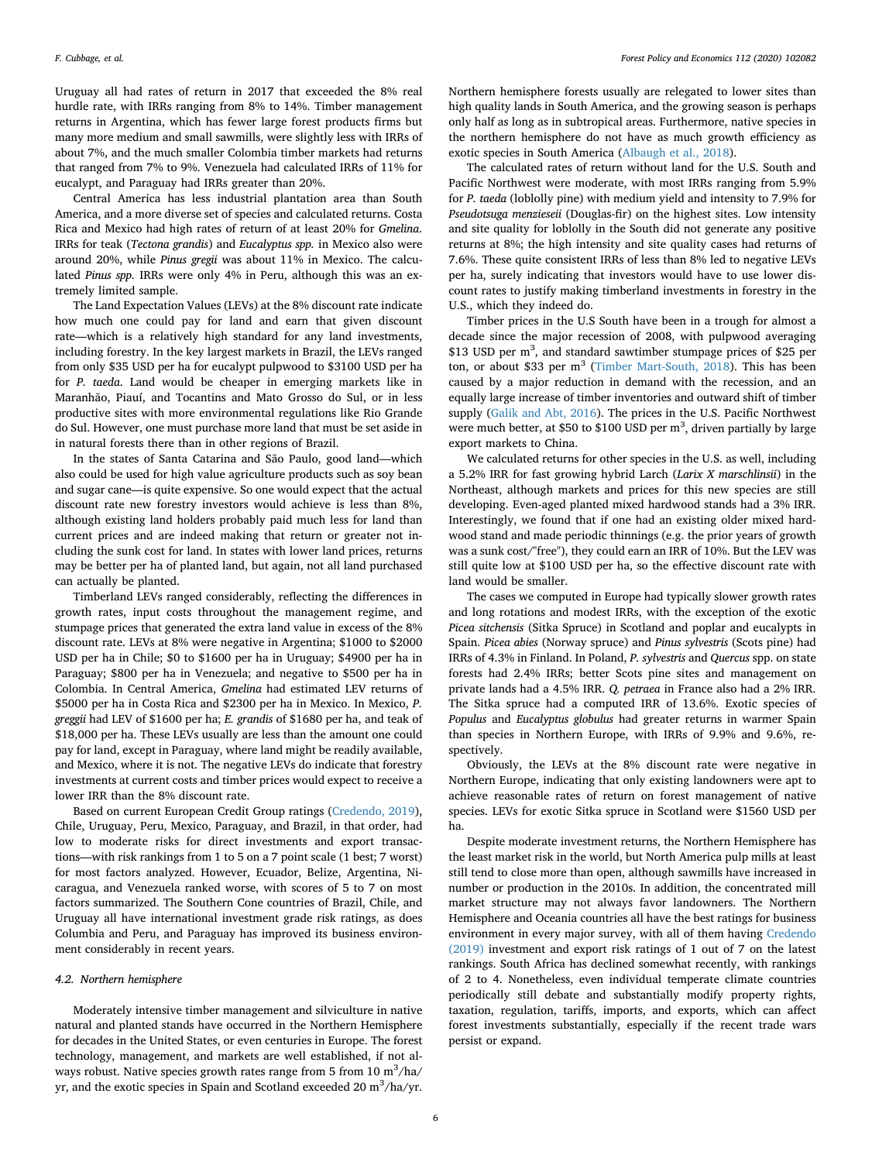Uruguay all had rates of return in 2017 that exceeded the 8% real hurdle rate, with IRRs ranging from 8% to 14%. Timber management returns in Argentina, which has fewer large forest products firms but many more medium and small sawmills, were slightly less with IRRs of about 7%, and the much smaller Colombia timber markets had returns that ranged from 7% to 9%. Venezuela had calculated IRRs of 11% for eucalypt, and Paraguay had IRRs greater than 20%.

Central America has less industrial plantation area than South America, and a more diverse set of species and calculated returns. Costa Rica and Mexico had high rates of return of at least 20% for *Gmelina*. IRRs for teak (*Tectona grandis*) and *Eucalyptus spp.* in Mexico also were around 20%, while *Pinus gregii* was about 11% in Mexico. The calculated *Pinus spp.* IRRs were only 4% in Peru, although this was an extremely limited sample.

The Land Expectation Values (LEVs) at the 8% discount rate indicate how much one could pay for land and earn that given discount rate—which is a relatively high standard for any land investments, including forestry. In the key largest markets in Brazil, the LEVs ranged from only \$35 USD per ha for eucalypt pulpwood to \$3100 USD per ha for *P. taeda*. Land would be cheaper in emerging markets like in Maranhão, Piauí, and Tocantins and Mato Grosso do Sul, or in less productive sites with more environmental regulations like Rio Grande do Sul. However, one must purchase more land that must be set aside in in natural forests there than in other regions of Brazil.

In the states of Santa Catarina and São Paulo, good land—which also could be used for high value agriculture products such as soy bean and sugar cane—is quite expensive. So one would expect that the actual discount rate new forestry investors would achieve is less than 8%, although existing land holders probably paid much less for land than current prices and are indeed making that return or greater not including the sunk cost for land. In states with lower land prices, returns may be better per ha of planted land, but again, not all land purchased can actually be planted.

Timberland LEVs ranged considerably, reflecting the differences in growth rates, input costs throughout the management regime, and stumpage prices that generated the extra land value in excess of the 8% discount rate. LEVs at 8% were negative in Argentina; \$1000 to \$2000 USD per ha in Chile; \$0 to \$1600 per ha in Uruguay; \$4900 per ha in Paraguay; \$800 per ha in Venezuela; and negative to \$500 per ha in Colombia. In Central America, *Gmelina* had estimated LEV returns of \$5000 per ha in Costa Rica and \$2300 per ha in Mexico. In Mexico, *P. greggii* had LEV of \$1600 per ha; *E. grandis* of \$1680 per ha, and teak of \$18,000 per ha. These LEVs usually are less than the amount one could pay for land, except in Paraguay, where land might be readily available, and Mexico, where it is not. The negative LEVs do indicate that forestry investments at current costs and timber prices would expect to receive a lower IRR than the 8% discount rate.

Based on current European Credit Group ratings ([Credendo, 2019](#page-10-26)), Chile, Uruguay, Peru, Mexico, Paraguay, and Brazil, in that order, had low to moderate risks for direct investments and export transactions—with risk rankings from 1 to 5 on a 7 point scale (1 best; 7 worst) for most factors analyzed. However, Ecuador, Belize, Argentina, Nicaragua, and Venezuela ranked worse, with scores of 5 to 7 on most factors summarized. The Southern Cone countries of Brazil, Chile, and Uruguay all have international investment grade risk ratings, as does Columbia and Peru, and Paraguay has improved its business environment considerably in recent years.

## *4.2. Northern hemisphere*

Moderately intensive timber management and silviculture in native natural and planted stands have occurred in the Northern Hemisphere for decades in the United States, or even centuries in Europe. The forest technology, management, and markets are well established, if not always robust. Native species growth rates range from 5 from  $10 \text{ m}^3\text{/ha/}$ yr, and the exotic species in Spain and Scotland exceeded 20  $\text{m}^3\text{/ha/yr.}$ 

Northern hemisphere forests usually are relegated to lower sites than high quality lands in South America, and the growing season is perhaps only half as long as in subtropical areas. Furthermore, native species in the northern hemisphere do not have as much growth efficiency as exotic species in South America [\(Albaugh et al., 2018](#page-10-27)).

The calculated rates of return without land for the U.S. South and Pacific Northwest were moderate, with most IRRs ranging from 5.9% for *P. taeda* (loblolly pine) with medium yield and intensity to 7.9% for *Pseudotsuga menzieseii* (Douglas-fir) on the highest sites. Low intensity and site quality for loblolly in the South did not generate any positive returns at 8%; the high intensity and site quality cases had returns of 7.6%. These quite consistent IRRs of less than 8% led to negative LEVs per ha, surely indicating that investors would have to use lower discount rates to justify making timberland investments in forestry in the U.S., which they indeed do.

Timber prices in the U.S South have been in a trough for almost a decade since the major recession of 2008, with pulpwood averaging \$13 USD per m<sup>3</sup>, and standard sawtimber stumpage prices of \$25 per ton, or about \$33 per  $m<sup>3</sup>$  [\(Timber Mart-South, 2018\)](#page-11-19). This has been caused by a major reduction in demand with the recession, and an equally large increase of timber inventories and outward shift of timber supply [\(Galik and Abt, 2016\)](#page-10-28). The prices in the U.S. Pacific Northwest were much better, at \$50 to \$100 USD per  $m<sup>3</sup>$ , driven partially by large export markets to China.

We calculated returns for other species in the U.S. as well, including a 5.2% IRR for fast growing hybrid Larch (*Larix X marschlinsii*) in the Northeast, although markets and prices for this new species are still developing. Even-aged planted mixed hardwood stands had a 3% IRR. Interestingly, we found that if one had an existing older mixed hardwood stand and made periodic thinnings (e.g. the prior years of growth was a sunk cost/"free"), they could earn an IRR of 10%. But the LEV was still quite low at \$100 USD per ha, so the effective discount rate with land would be smaller.

The cases we computed in Europe had typically slower growth rates and long rotations and modest IRRs, with the exception of the exotic *Picea sitchensis* (Sitka Spruce) in Scotland and poplar and eucalypts in Spain. *Picea abies* (Norway spruce) and *Pinus sylvestris* (Scots pine) had IRRs of 4.3% in Finland. In Poland, *P. sylvestris* and *Quercus* spp. on state forests had 2.4% IRRs; better Scots pine sites and management on private lands had a 4.5% IRR. *Q. petraea* in France also had a 2% IRR. The Sitka spruce had a computed IRR of 13.6%. Exotic species of *Populus* and *Eucalyptus globulus* had greater returns in warmer Spain than species in Northern Europe, with IRRs of 9.9% and 9.6%, respectively.

Obviously, the LEVs at the 8% discount rate were negative in Northern Europe, indicating that only existing landowners were apt to achieve reasonable rates of return on forest management of native species. LEVs for exotic Sitka spruce in Scotland were \$1560 USD per ha.

Despite moderate investment returns, the Northern Hemisphere has the least market risk in the world, but North America pulp mills at least still tend to close more than open, although sawmills have increased in number or production in the 2010s. In addition, the concentrated mill market structure may not always favor landowners. The Northern Hemisphere and Oceania countries all have the best ratings for business environment in every major survey, with all of them having [Credendo](#page-10-26) [\(2019\)](#page-10-26) investment and export risk ratings of 1 out of 7 on the latest rankings. South Africa has declined somewhat recently, with rankings of 2 to 4. Nonetheless, even individual temperate climate countries periodically still debate and substantially modify property rights, taxation, regulation, tariffs, imports, and exports, which can affect forest investments substantially, especially if the recent trade wars persist or expand.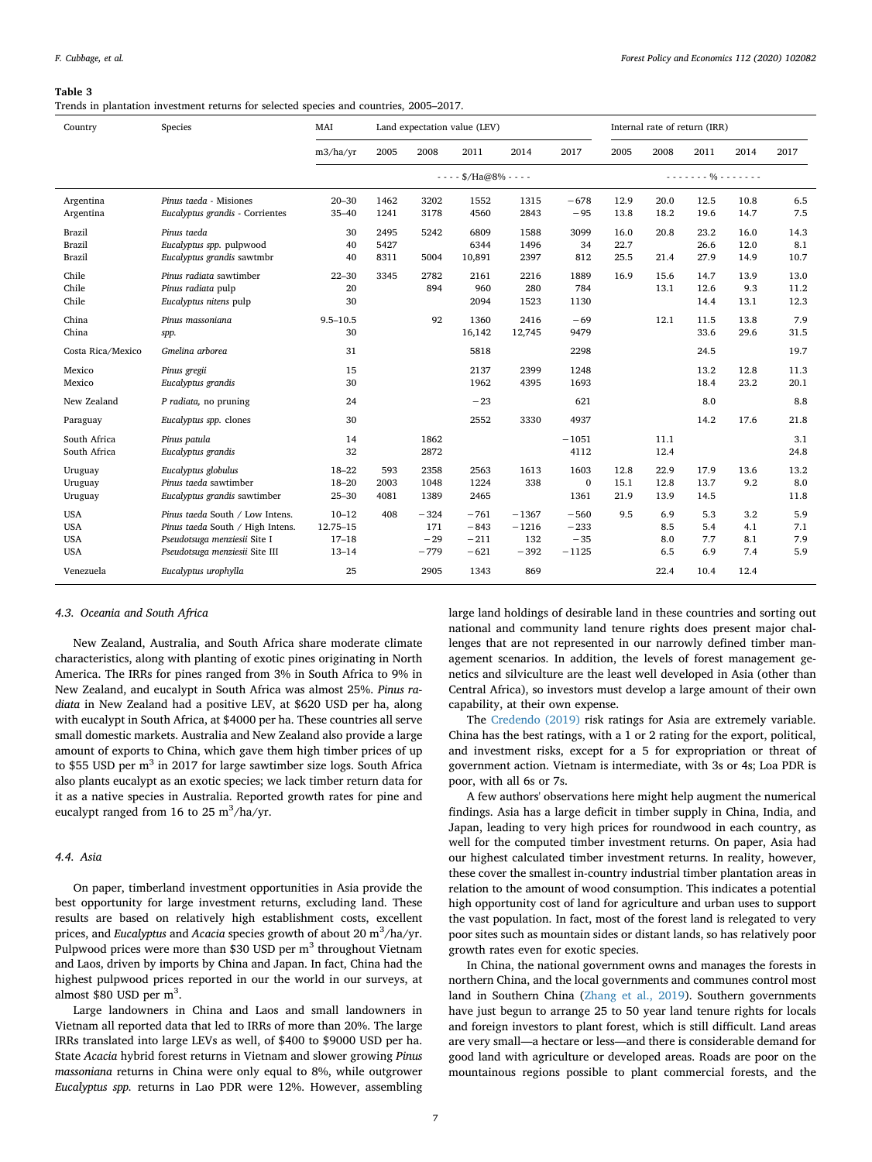#### <span id="page-6-0"></span>**Table 3**

Trends in plantation investment returns for selected species and countries, 2005–2017.

| Country                                              | Species                                                                                                                               | MAI                                             | Land expectation value (LEV) |                                  |                                      | Internal rate of return (IRR)       |                                      |                      |                          |                          |                          |                          |
|------------------------------------------------------|---------------------------------------------------------------------------------------------------------------------------------------|-------------------------------------------------|------------------------------|----------------------------------|--------------------------------------|-------------------------------------|--------------------------------------|----------------------|--------------------------|--------------------------|--------------------------|--------------------------|
|                                                      |                                                                                                                                       | m3/ha/yr                                        | 2005                         | 2008                             | 2011                                 | 2014                                | 2017                                 | 2005                 | 2008                     | 2011                     | 2014                     | 2017                     |
|                                                      |                                                                                                                                       |                                                 |                              |                                  | $- - -$ \$/Ha@8% - - - -             |                                     |                                      |                      |                          | . %                      |                          |                          |
| Argentina<br>Argentina                               | Pinus taeda - Misiones<br>Eucalyptus grandis - Corrientes                                                                             | $20 - 30$<br>$35 - 40$                          | 1462<br>1241                 | 3202<br>3178                     | 1552<br>4560                         | 1315<br>2843                        | $-678$<br>$-95$                      | 12.9<br>13.8         | 20.0<br>18.2             | 12.5<br>19.6             | 10.8<br>14.7             | 6.5<br>7.5               |
| <b>Brazil</b><br><b>Brazil</b><br>Brazil             | Pinus taeda<br>Eucalyptus spp. pulpwood<br>Eucalyptus grandis sawtmbr                                                                 | 30<br>40<br>40                                  | 2495<br>5427<br>8311         | 5242<br>5004                     | 6809<br>6344<br>10,891               | 1588<br>1496<br>2397                | 3099<br>34<br>812                    | 16.0<br>22.7<br>25.5 | 20.8<br>21.4             | 23.2<br>26.6<br>27.9     | 16.0<br>12.0<br>14.9     | 14.3<br>8.1<br>10.7      |
| Chile<br>Chile<br>Chile                              | Pinus radiata sawtimber<br>Pinus radiata pulp<br>Eucalyptus nitens pulp                                                               | $22 - 30$<br>20<br>30                           | 3345                         | 2782<br>894                      | 2161<br>960<br>2094                  | 2216<br>280<br>1523                 | 1889<br>784<br>1130                  | 16.9                 | 15.6<br>13.1             | 14.7<br>12.6<br>14.4     | 13.9<br>9.3<br>13.1      | 13.0<br>11.2<br>12.3     |
| China<br>China                                       | Pinus massoniana<br>spp.                                                                                                              | $9.5 - 10.5$<br>30                              |                              | 92                               | 1360<br>16,142                       | 2416<br>12,745                      | $-69$<br>9479                        |                      | 12.1                     | 11.5<br>33.6             | 13.8<br>29.6             | 7.9<br>31.5              |
| Costa Rica/Mexico                                    | Gmelina arborea                                                                                                                       | 31                                              |                              |                                  | 5818                                 |                                     | 2298                                 |                      |                          | 24.5                     |                          | 19.7                     |
| Mexico<br>Mexico                                     | Pinus gregii<br>Eucalyptus grandis                                                                                                    | 15<br>30                                        |                              |                                  | 2137<br>1962                         | 2399<br>4395                        | 1248<br>1693                         |                      |                          | 13.2<br>18.4             | 12.8<br>23.2             | 11.3<br>20.1             |
| New Zealand                                          | P radiata, no pruning                                                                                                                 | 24                                              |                              |                                  | $-23$                                |                                     | 621                                  |                      |                          | 8.0                      |                          | 8.8                      |
| Paraguay                                             | Eucalyptus spp. clones                                                                                                                | 30                                              |                              |                                  | 2552                                 | 3330                                | 4937                                 |                      |                          | 14.2                     | 17.6                     | 21.8                     |
| South Africa<br>South Africa                         | Pinus patula<br>Eucalyptus grandis                                                                                                    | 14<br>32                                        |                              | 1862<br>2872                     |                                      |                                     | $-1051$<br>4112                      |                      | 11.1<br>12.4             |                          |                          | 3.1<br>24.8              |
| Uruguay<br>Uruguay<br>Uruguay                        | Eucalyptus globulus<br>Pinus taeda sawtimber<br>Eucalyptus grandis sawtimber                                                          | $18 - 22$<br>$18 - 20$<br>$25 - 30$             | 593<br>2003<br>4081          | 2358<br>1048<br>1389             | 2563<br>1224<br>2465                 | 1613<br>338                         | 1603<br>$\mathbf{0}$<br>1361         | 12.8<br>15.1<br>21.9 | 22.9<br>12.8<br>13.9     | 17.9<br>13.7<br>14.5     | 13.6<br>9.2              | 13.2<br>8.0<br>11.8      |
| <b>USA</b><br><b>USA</b><br><b>USA</b><br><b>USA</b> | Pinus taeda South / Low Intens.<br>Pinus taeda South / High Intens.<br>Pseudotsuga menziesii Site I<br>Pseudotsuga menziesii Site III | $10 - 12$<br>12.75-15<br>$17 - 18$<br>$13 - 14$ | 408                          | $-324$<br>171<br>$-29$<br>$-779$ | $-761$<br>$-843$<br>$-211$<br>$-621$ | $-1367$<br>$-1216$<br>132<br>$-392$ | $-560$<br>$-233$<br>$-35$<br>$-1125$ | 9.5                  | 6.9<br>8.5<br>8.0<br>6.5 | 5.3<br>5.4<br>7.7<br>6.9 | 3.2<br>4.1<br>8.1<br>7.4 | 5.9<br>7.1<br>7.9<br>5.9 |
| Venezuela                                            | Eucalyptus urophylla                                                                                                                  | 25                                              |                              | 2905                             | 1343                                 | 869                                 |                                      |                      | 22.4                     | 10.4                     | 12.4                     |                          |

#### *4.3. Oceania and South Africa*

New Zealand, Australia, and South Africa share moderate climate characteristics, along with planting of exotic pines originating in North America. The IRRs for pines ranged from 3% in South Africa to 9% in New Zealand, and eucalypt in South Africa was almost 25%. *Pinus radiata* in New Zealand had a positive LEV, at \$620 USD per ha, along with eucalypt in South Africa, at \$4000 per ha. These countries all serve small domestic markets. Australia and New Zealand also provide a large amount of exports to China, which gave them high timber prices of up to \$55 USD per  $m<sup>3</sup>$  in 2017 for large sawtimber size logs. South Africa also plants eucalypt as an exotic species; we lack timber return data for it as a native species in Australia. Reported growth rates for pine and eucalypt ranged from 16 to 25 m<sup>3</sup>/ha/yr.

# *4.4. Asia*

On paper, timberland investment opportunities in Asia provide the best opportunity for large investment returns, excluding land. These results are based on relatively high establishment costs, excellent prices, and *Eucalyptus* and *Acacia* species growth of about 20 m<sup>3</sup> /ha/yr. Pulpwood prices were more than \$30 USD per  $m<sup>3</sup>$  throughout Vietnam and Laos, driven by imports by China and Japan. In fact, China had the highest pulpwood prices reported in our the world in our surveys, at almost \$80 USD per  $m^3$ .

Large landowners in China and Laos and small landowners in Vietnam all reported data that led to IRRs of more than 20%. The large IRRs translated into large LEVs as well, of \$400 to \$9000 USD per ha. State *Acacia* hybrid forest returns in Vietnam and slower growing *Pinus massoniana* returns in China were only equal to 8%, while outgrower *Eucalyptus spp.* returns in Lao PDR were 12%. However, assembling

large land holdings of desirable land in these countries and sorting out national and community land tenure rights does present major challenges that are not represented in our narrowly defined timber management scenarios. In addition, the levels of forest management genetics and silviculture are the least well developed in Asia (other than Central Africa), so investors must develop a large amount of their own capability, at their own expense.

The [Credendo \(2019\)](#page-10-26) risk ratings for Asia are extremely variable. China has the best ratings, with a 1 or 2 rating for the export, political, and investment risks, except for a 5 for expropriation or threat of government action. Vietnam is intermediate, with 3s or 4s; Loa PDR is poor, with all 6s or 7s.

A few authors' observations here might help augment the numerical findings. Asia has a large deficit in timber supply in China, India, and Japan, leading to very high prices for roundwood in each country, as well for the computed timber investment returns. On paper, Asia had our highest calculated timber investment returns. In reality, however, these cover the smallest in-country industrial timber plantation areas in relation to the amount of wood consumption. This indicates a potential high opportunity cost of land for agriculture and urban uses to support the vast population. In fact, most of the forest land is relegated to very poor sites such as mountain sides or distant lands, so has relatively poor growth rates even for exotic species.

In China, the national government owns and manages the forests in northern China, and the local governments and communes control most land in Southern China [\(Zhang et al., 2019\)](#page-11-17). Southern governments have just begun to arrange 25 to 50 year land tenure rights for locals and foreign investors to plant forest, which is still difficult. Land areas are very small—a hectare or less—and there is considerable demand for good land with agriculture or developed areas. Roads are poor on the mountainous regions possible to plant commercial forests, and the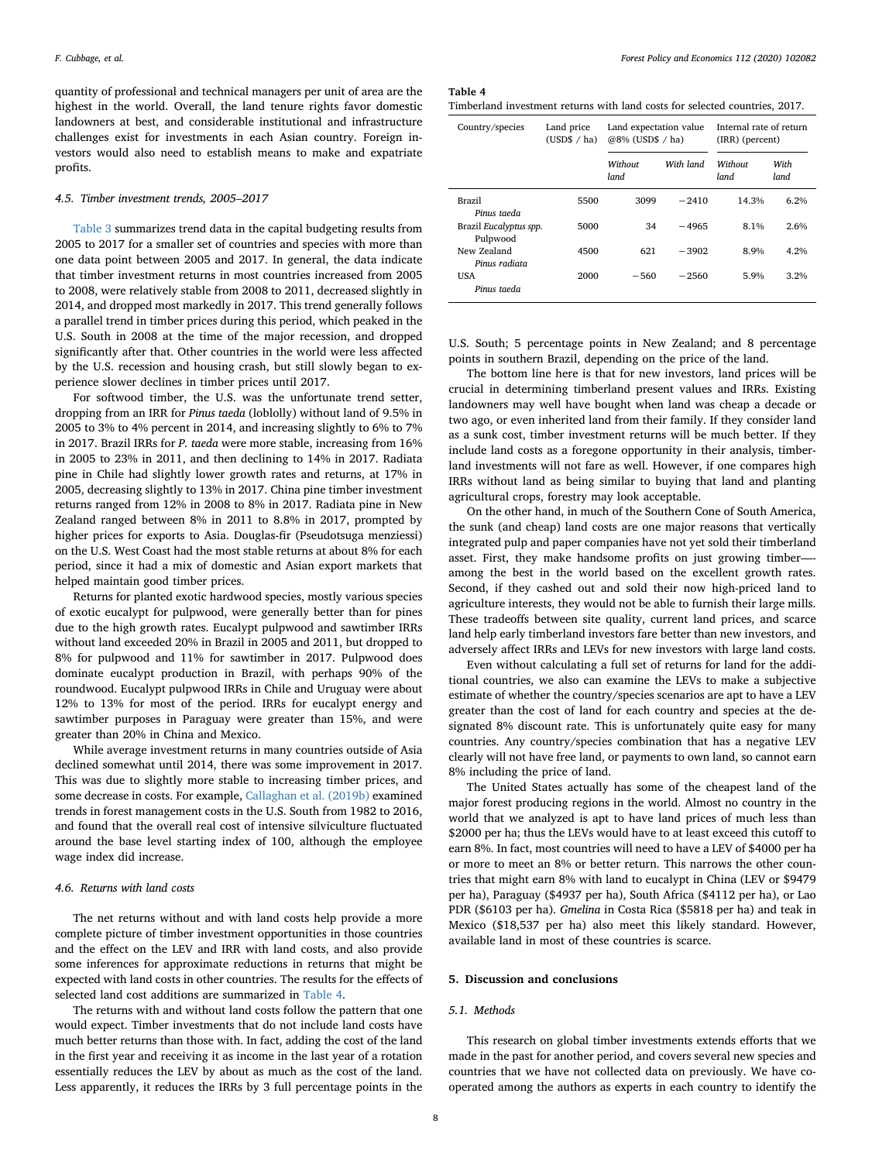quantity of professional and technical managers per unit of area are the highest in the world. Overall, the land tenure rights favor domestic landowners at best, and considerable institutional and infrastructure challenges exist for investments in each Asian country. Foreign investors would also need to establish means to make and expatriate profits.

#### *4.5. Timber investment trends, 2005–2017*

[Table 3](#page-6-0) summarizes trend data in the capital budgeting results from 2005 to 2017 for a smaller set of countries and species with more than one data point between 2005 and 2017. In general, the data indicate that timber investment returns in most countries increased from 2005 to 2008, were relatively stable from 2008 to 2011, decreased slightly in 2014, and dropped most markedly in 2017. This trend generally follows a parallel trend in timber prices during this period, which peaked in the U.S. South in 2008 at the time of the major recession, and dropped significantly after that. Other countries in the world were less affected by the U.S. recession and housing crash, but still slowly began to experience slower declines in timber prices until 2017.

For softwood timber, the U.S. was the unfortunate trend setter, dropping from an IRR for *Pinus taeda* (loblolly) without land of 9.5% in 2005 to 3% to 4% percent in 2014, and increasing slightly to 6% to 7% in 2017. Brazil IRRs for *P. taeda* were more stable, increasing from 16% in 2005 to 23% in 2011, and then declining to 14% in 2017. Radiata pine in Chile had slightly lower growth rates and returns, at 17% in 2005, decreasing slightly to 13% in 2017. China pine timber investment returns ranged from 12% in 2008 to 8% in 2017. Radiata pine in New Zealand ranged between 8% in 2011 to 8.8% in 2017, prompted by higher prices for exports to Asia. Douglas-fir (Pseudotsuga menziessi) on the U.S. West Coast had the most stable returns at about 8% for each period, since it had a mix of domestic and Asian export markets that helped maintain good timber prices.

Returns for planted exotic hardwood species, mostly various species of exotic eucalypt for pulpwood, were generally better than for pines due to the high growth rates. Eucalypt pulpwood and sawtimber IRRs without land exceeded 20% in Brazil in 2005 and 2011, but dropped to 8% for pulpwood and 11% for sawtimber in 2017. Pulpwood does dominate eucalypt production in Brazil, with perhaps 90% of the roundwood. Eucalypt pulpwood IRRs in Chile and Uruguay were about 12% to 13% for most of the period. IRRs for eucalypt energy and sawtimber purposes in Paraguay were greater than 15%, and were greater than 20% in China and Mexico.

While average investment returns in many countries outside of Asia declined somewhat until 2014, there was some improvement in 2017. This was due to slightly more stable to increasing timber prices, and some decrease in costs. For example, [Callaghan et al. \(2019b\)](#page-10-29) examined trends in forest management costs in the U.S. South from 1982 to 2016, and found that the overall real cost of intensive silviculture fluctuated around the base level starting index of 100, although the employee wage index did increase.

## *4.6. Returns with land costs*

The net returns without and with land costs help provide a more complete picture of timber investment opportunities in those countries and the effect on the LEV and IRR with land costs, and also provide some inferences for approximate reductions in returns that might be expected with land costs in other countries. The results for the effects of selected land cost additions are summarized in [Table 4.](#page-7-0)

The returns with and without land costs follow the pattern that one would expect. Timber investments that do not include land costs have much better returns than those with. In fact, adding the cost of the land in the first year and receiving it as income in the last year of a rotation essentially reduces the LEV by about as much as the cost of the land. Less apparently, it reduces the IRRs by 3 full percentage points in the

<span id="page-7-0"></span>

| Table 4                                                                     |  |
|-----------------------------------------------------------------------------|--|
| Timberland investment returns with land costs for selected countries, 2017. |  |

| Country/species                    | Land price<br>(USD\$ / ha) | Land expectation value<br>@8% (USD\$ / ha) |           | Internal rate of return<br>(IRR) (percent) |              |
|------------------------------------|----------------------------|--------------------------------------------|-----------|--------------------------------------------|--------------|
|                                    |                            | Without<br>land                            | With land | Without<br>land                            | With<br>land |
| Brazil<br>Pinus taeda              | 5500                       | 3099                                       | $-2410$   | 14.3%                                      | 6.2%         |
| Brazil Eucalyptus spp.<br>Pulpwood | 5000                       | 34                                         | $-4965$   | 8.1%                                       | 2.6%         |
| New Zealand<br>Pinus radiata       | 4500                       | 621                                        | $-3902$   | 8.9%                                       | 4.2%         |
| USA<br>Pinus taeda                 | 2000                       | $-560$                                     | $-2560$   | 5.9%                                       | 3.2%         |

U.S. South; 5 percentage points in New Zealand; and 8 percentage points in southern Brazil, depending on the price of the land.

The bottom line here is that for new investors, land prices will be crucial in determining timberland present values and IRRs. Existing landowners may well have bought when land was cheap a decade or two ago, or even inherited land from their family. If they consider land as a sunk cost, timber investment returns will be much better. If they include land costs as a foregone opportunity in their analysis, timberland investments will not fare as well. However, if one compares high IRRs without land as being similar to buying that land and planting agricultural crops, forestry may look acceptable.

On the other hand, in much of the Southern Cone of South America, the sunk (and cheap) land costs are one major reasons that vertically integrated pulp and paper companies have not yet sold their timberland asset. First, they make handsome profits on just growing timber— among the best in the world based on the excellent growth rates. Second, if they cashed out and sold their now high-priced land to agriculture interests, they would not be able to furnish their large mills. These tradeoffs between site quality, current land prices, and scarce land help early timberland investors fare better than new investors, and adversely affect IRRs and LEVs for new investors with large land costs.

Even without calculating a full set of returns for land for the additional countries, we also can examine the LEVs to make a subjective estimate of whether the country/species scenarios are apt to have a LEV greater than the cost of land for each country and species at the designated 8% discount rate. This is unfortunately quite easy for many countries. Any country/species combination that has a negative LEV clearly will not have free land, or payments to own land, so cannot earn 8% including the price of land.

The United States actually has some of the cheapest land of the major forest producing regions in the world. Almost no country in the world that we analyzed is apt to have land prices of much less than \$2000 per ha; thus the LEVs would have to at least exceed this cutoff to earn 8%. In fact, most countries will need to have a LEV of \$4000 per ha or more to meet an 8% or better return. This narrows the other countries that might earn 8% with land to eucalypt in China (LEV or \$9479 per ha), Paraguay (\$4937 per ha), South Africa (\$4112 per ha), or Lao PDR (\$6103 per ha). *Gmelina* in Costa Rica (\$5818 per ha) and teak in Mexico (\$18,537 per ha) also meet this likely standard. However, available land in most of these countries is scarce.

# **5. Discussion and conclusions**

## *5.1. Methods*

This research on global timber investments extends efforts that we made in the past for another period, and covers several new species and countries that we have not collected data on previously. We have cooperated among the authors as experts in each country to identify the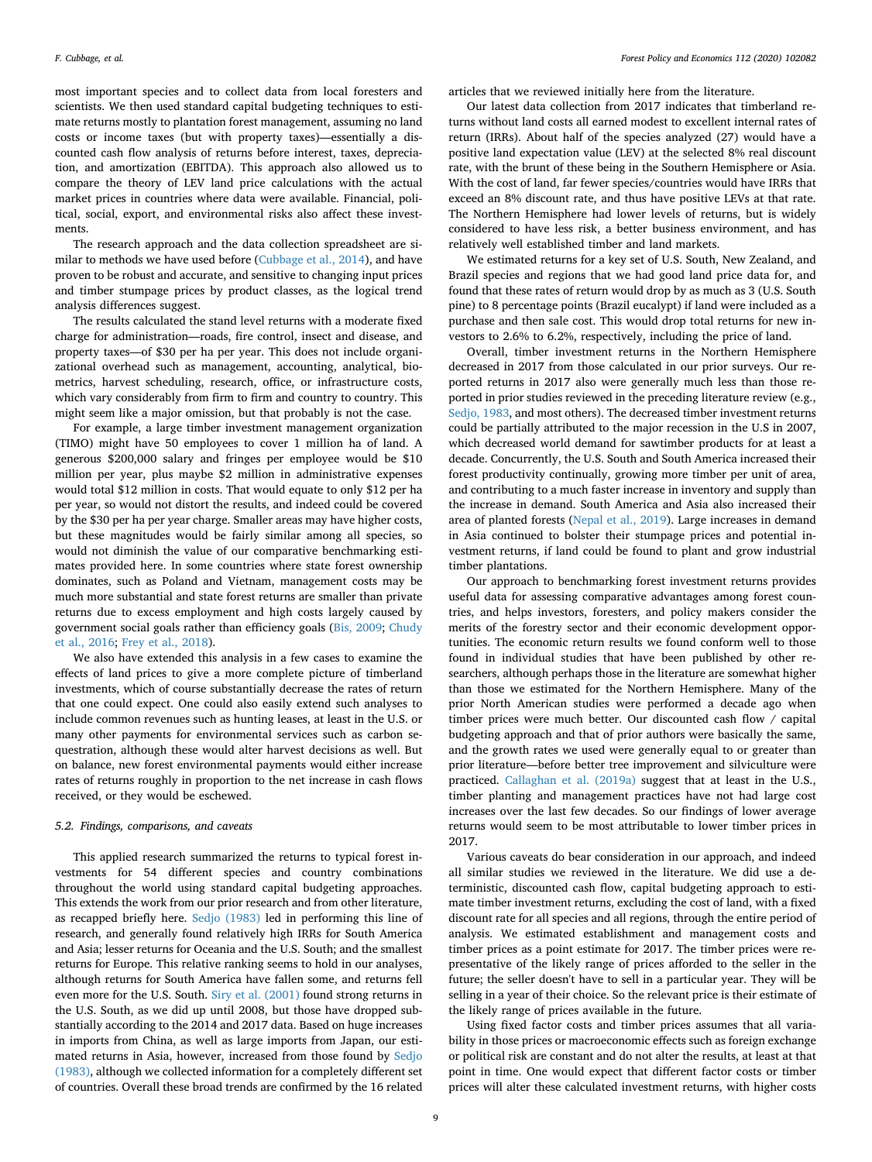most important species and to collect data from local foresters and scientists. We then used standard capital budgeting techniques to estimate returns mostly to plantation forest management, assuming no land costs or income taxes (but with property taxes)—essentially a discounted cash flow analysis of returns before interest, taxes, depreciation, and amortization (EBITDA). This approach also allowed us to compare the theory of LEV land price calculations with the actual market prices in countries where data were available. Financial, political, social, export, and environmental risks also affect these investments.

The research approach and the data collection spreadsheet are similar to methods we have used before ([Cubbage et al., 2014](#page-10-22)), and have proven to be robust and accurate, and sensitive to changing input prices and timber stumpage prices by product classes, as the logical trend analysis differences suggest.

The results calculated the stand level returns with a moderate fixed charge for administration—roads, fire control, insect and disease, and property taxes—of \$30 per ha per year. This does not include organizational overhead such as management, accounting, analytical, biometrics, harvest scheduling, research, office, or infrastructure costs, which vary considerably from firm to firm and country to country. This might seem like a major omission, but that probably is not the case.

For example, a large timber investment management organization (TIMO) might have 50 employees to cover 1 million ha of land. A generous \$200,000 salary and fringes per employee would be \$10 million per year, plus maybe \$2 million in administrative expenses would total \$12 million in costs. That would equate to only \$12 per ha per year, so would not distort the results, and indeed could be covered by the \$30 per ha per year charge. Smaller areas may have higher costs, but these magnitudes would be fairly similar among all species, so would not diminish the value of our comparative benchmarking estimates provided here. In some countries where state forest ownership dominates, such as Poland and Vietnam, management costs may be much more substantial and state forest returns are smaller than private returns due to excess employment and high costs largely caused by government social goals rather than efficiency goals [\(Bis, 2009](#page-10-15); [Chudy](#page-10-30) [et al., 2016](#page-10-30); [Frey et al., 2018](#page-10-20)).

We also have extended this analysis in a few cases to examine the effects of land prices to give a more complete picture of timberland investments, which of course substantially decrease the rates of return that one could expect. One could also easily extend such analyses to include common revenues such as hunting leases, at least in the U.S. or many other payments for environmental services such as carbon sequestration, although these would alter harvest decisions as well. But on balance, new forest environmental payments would either increase rates of returns roughly in proportion to the net increase in cash flows received, or they would be eschewed.

#### *5.2. Findings, comparisons, and caveats*

This applied research summarized the returns to typical forest investments for 54 different species and country combinations throughout the world using standard capital budgeting approaches. This extends the work from our prior research and from other literature, as recapped briefly here. [Sedjo \(1983\)](#page-11-2) led in performing this line of research, and generally found relatively high IRRs for South America and Asia; lesser returns for Oceania and the U.S. South; and the smallest returns for Europe. This relative ranking seems to hold in our analyses, although returns for South America have fallen some, and returns fell even more for the U.S. South. [Siry et al. \(2001\)](#page-11-12) found strong returns in the U.S. South, as we did up until 2008, but those have dropped substantially according to the 2014 and 2017 data. Based on huge increases in imports from China, as well as large imports from Japan, our estimated returns in Asia, however, increased from those found by [Sedjo](#page-11-2) [\(1983\),](#page-11-2) although we collected information for a completely different set of countries. Overall these broad trends are confirmed by the 16 related

articles that we reviewed initially here from the literature.

Our latest data collection from 2017 indicates that timberland returns without land costs all earned modest to excellent internal rates of return (IRRs). About half of the species analyzed (27) would have a positive land expectation value (LEV) at the selected 8% real discount rate, with the brunt of these being in the Southern Hemisphere or Asia. With the cost of land, far fewer species/countries would have IRRs that exceed an 8% discount rate, and thus have positive LEVs at that rate. The Northern Hemisphere had lower levels of returns, but is widely considered to have less risk, a better business environment, and has relatively well established timber and land markets.

We estimated returns for a key set of U.S. South, New Zealand, and Brazil species and regions that we had good land price data for, and found that these rates of return would drop by as much as 3 (U.S. South pine) to 8 percentage points (Brazil eucalypt) if land were included as a purchase and then sale cost. This would drop total returns for new investors to 2.6% to 6.2%, respectively, including the price of land.

Overall, timber investment returns in the Northern Hemisphere decreased in 2017 from those calculated in our prior surveys. Our reported returns in 2017 also were generally much less than those reported in prior studies reviewed in the preceding literature review (e.g., [Sedjo, 1983,](#page-11-2) and most others). The decreased timber investment returns could be partially attributed to the major recession in the U.S in 2007, which decreased world demand for sawtimber products for at least a decade. Concurrently, the U.S. South and South America increased their forest productivity continually, growing more timber per unit of area, and contributing to a much faster increase in inventory and supply than the increase in demand. South America and Asia also increased their area of planted forests ([Nepal et al., 2019](#page-11-1)). Large increases in demand in Asia continued to bolster their stumpage prices and potential investment returns, if land could be found to plant and grow industrial timber plantations.

Our approach to benchmarking forest investment returns provides useful data for assessing comparative advantages among forest countries, and helps investors, foresters, and policy makers consider the merits of the forestry sector and their economic development opportunities. The economic return results we found conform well to those found in individual studies that have been published by other researchers, although perhaps those in the literature are somewhat higher than those we estimated for the Northern Hemisphere. Many of the prior North American studies were performed a decade ago when timber prices were much better. Our discounted cash flow / capital budgeting approach and that of prior authors were basically the same, and the growth rates we used were generally equal to or greater than prior literature—before better tree improvement and silviculture were practiced. [Callaghan et al. \(2019a\)](#page-10-17) suggest that at least in the U.S., timber planting and management practices have not had large cost increases over the last few decades. So our findings of lower average returns would seem to be most attributable to lower timber prices in 2017.

Various caveats do bear consideration in our approach, and indeed all similar studies we reviewed in the literature. We did use a deterministic, discounted cash flow, capital budgeting approach to estimate timber investment returns, excluding the cost of land, with a fixed discount rate for all species and all regions, through the entire period of analysis. We estimated establishment and management costs and timber prices as a point estimate for 2017. The timber prices were representative of the likely range of prices afforded to the seller in the future; the seller doesn't have to sell in a particular year. They will be selling in a year of their choice. So the relevant price is their estimate of the likely range of prices available in the future.

Using fixed factor costs and timber prices assumes that all variability in those prices or macroeconomic effects such as foreign exchange or political risk are constant and do not alter the results, at least at that point in time. One would expect that different factor costs or timber prices will alter these calculated investment returns, with higher costs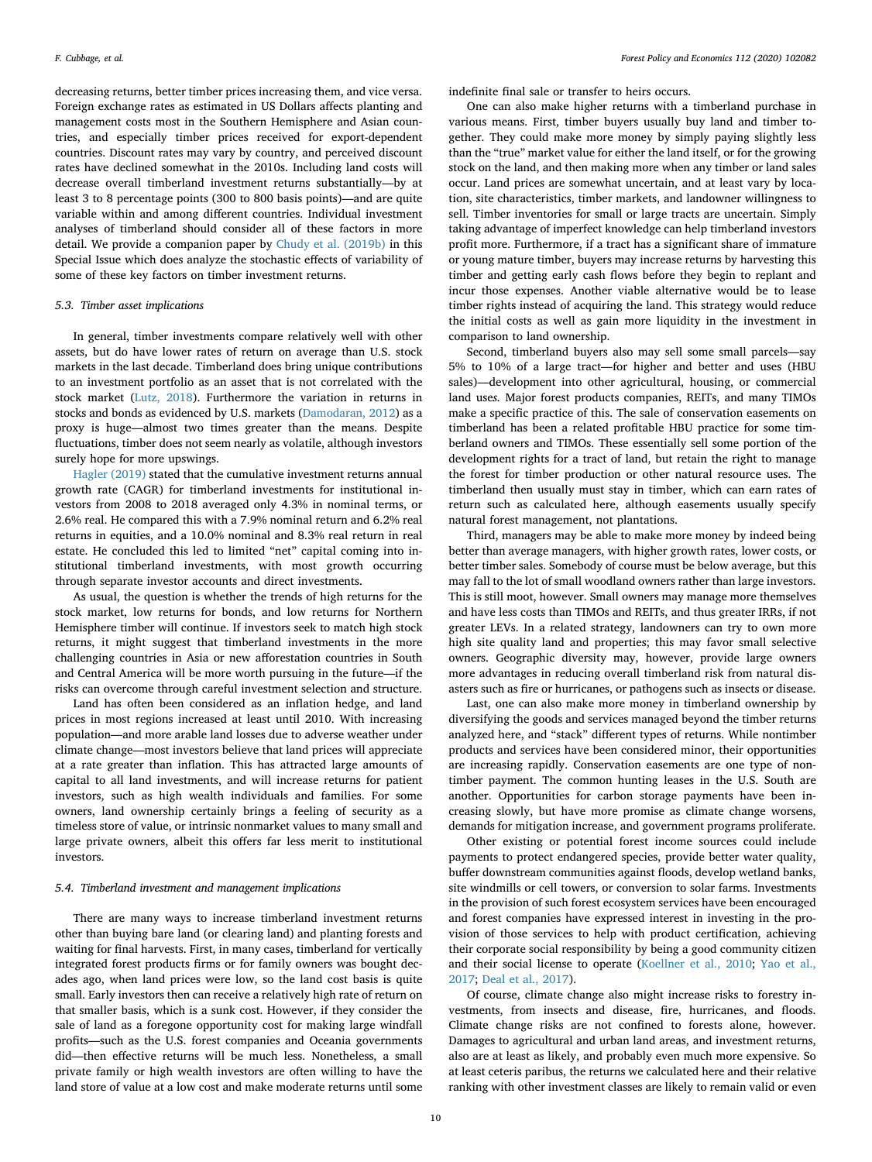decreasing returns, better timber prices increasing them, and vice versa. Foreign exchange rates as estimated in US Dollars affects planting and management costs most in the Southern Hemisphere and Asian countries, and especially timber prices received for export-dependent countries. Discount rates may vary by country, and perceived discount rates have declined somewhat in the 2010s. Including land costs will decrease overall timberland investment returns substantially—by at least 3 to 8 percentage points (300 to 800 basis points)—and are quite variable within and among different countries. Individual investment analyses of timberland should consider all of these factors in more detail. We provide a companion paper by [Chudy et al. \(2019b\)](#page-10-31) in this Special Issue which does analyze the stochastic effects of variability of some of these key factors on timber investment returns.

## *5.3. Timber asset implications*

In general, timber investments compare relatively well with other assets, but do have lower rates of return on average than U.S. stock markets in the last decade. Timberland does bring unique contributions to an investment portfolio as an asset that is not correlated with the stock market [\(Lutz, 2018\)](#page-10-32). Furthermore the variation in returns in stocks and bonds as evidenced by U.S. markets ([Damodaran, 2012](#page-10-33)) as a proxy is huge—almost two times greater than the means. Despite fluctuations, timber does not seem nearly as volatile, although investors surely hope for more upswings.

[Hagler \(2019\)](#page-10-34) stated that the cumulative investment returns annual growth rate (CAGR) for timberland investments for institutional investors from 2008 to 2018 averaged only 4.3% in nominal terms, or 2.6% real. He compared this with a 7.9% nominal return and 6.2% real returns in equities, and a 10.0% nominal and 8.3% real return in real estate. He concluded this led to limited "net" capital coming into institutional timberland investments, with most growth occurring through separate investor accounts and direct investments.

As usual, the question is whether the trends of high returns for the stock market, low returns for bonds, and low returns for Northern Hemisphere timber will continue. If investors seek to match high stock returns, it might suggest that timberland investments in the more challenging countries in Asia or new afforestation countries in South and Central America will be more worth pursuing in the future—if the risks can overcome through careful investment selection and structure.

Land has often been considered as an inflation hedge, and land prices in most regions increased at least until 2010. With increasing population—and more arable land losses due to adverse weather under climate change—most investors believe that land prices will appreciate at a rate greater than inflation. This has attracted large amounts of capital to all land investments, and will increase returns for patient investors, such as high wealth individuals and families. For some owners, land ownership certainly brings a feeling of security as a timeless store of value, or intrinsic nonmarket values to many small and large private owners, albeit this offers far less merit to institutional investors.

## *5.4. Timberland investment and management implications*

There are many ways to increase timberland investment returns other than buying bare land (or clearing land) and planting forests and waiting for final harvests. First, in many cases, timberland for vertically integrated forest products firms or for family owners was bought decades ago, when land prices were low, so the land cost basis is quite small. Early investors then can receive a relatively high rate of return on that smaller basis, which is a sunk cost. However, if they consider the sale of land as a foregone opportunity cost for making large windfall profits—such as the U.S. forest companies and Oceania governments did—then effective returns will be much less. Nonetheless, a small private family or high wealth investors are often willing to have the land store of value at a low cost and make moderate returns until some

indefinite final sale or transfer to heirs occurs.

One can also make higher returns with a timberland purchase in various means. First, timber buyers usually buy land and timber together. They could make more money by simply paying slightly less than the "true" market value for either the land itself, or for the growing stock on the land, and then making more when any timber or land sales occur. Land prices are somewhat uncertain, and at least vary by location, site characteristics, timber markets, and landowner willingness to sell. Timber inventories for small or large tracts are uncertain. Simply taking advantage of imperfect knowledge can help timberland investors profit more. Furthermore, if a tract has a significant share of immature or young mature timber, buyers may increase returns by harvesting this timber and getting early cash flows before they begin to replant and incur those expenses. Another viable alternative would be to lease timber rights instead of acquiring the land. This strategy would reduce the initial costs as well as gain more liquidity in the investment in comparison to land ownership.

Second, timberland buyers also may sell some small parcels—say 5% to 10% of a large tract—for higher and better and uses (HBU sales)—development into other agricultural, housing, or commercial land use*s.* Major forest products companies, REITs, and many TIMOs make a specific practice of this. The sale of conservation easements on timberland has been a related profitable HBU practice for some timberland owners and TIMOs. These essentially sell some portion of the development rights for a tract of land, but retain the right to manage the forest for timber production or other natural resource uses. The timberland then usually must stay in timber, which can earn rates of return such as calculated here, although easements usually specify natural forest management, not plantations.

Third, managers may be able to make more money by indeed being better than average managers, with higher growth rates, lower costs, or better timber sales. Somebody of course must be below average, but this may fall to the lot of small woodland owners rather than large investors. This is still moot, however. Small owners may manage more themselves and have less costs than TIMOs and REITs, and thus greater IRRs, if not greater LEVs. In a related strategy, landowners can try to own more high site quality land and properties; this may favor small selective owners. Geographic diversity may, however, provide large owners more advantages in reducing overall timberland risk from natural disasters such as fire or hurricanes, or pathogens such as insects or disease.

Last, one can also make more money in timberland ownership by diversifying the goods and services managed beyond the timber returns analyzed here, and "stack" different types of returns. While nontimber products and services have been considered minor, their opportunities are increasing rapidly. Conservation easements are one type of nontimber payment. The common hunting leases in the U.S. South are another. Opportunities for carbon storage payments have been increasing slowly, but have more promise as climate change worsens, demands for mitigation increase, and government programs proliferate.

Other existing or potential forest income sources could include payments to protect endangered species, provide better water quality, buffer downstream communities against floods, develop wetland banks, site windmills or cell towers, or conversion to solar farms. Investments in the provision of such forest ecosystem services have been encouraged and forest companies have expressed interest in investing in the provision of those services to help with product certification, achieving their corporate social responsibility by being a good community citizen and their social license to operate [\(Koellner et al., 2010;](#page-10-35) [Yao et al.,](#page-11-20) [2017;](#page-11-20) [Deal et al., 2017\)](#page-10-36).

Of course, climate change also might increase risks to forestry investments, from insects and disease, fire, hurricanes, and floods. Climate change risks are not confined to forests alone, however. Damages to agricultural and urban land areas, and investment returns, also are at least as likely, and probably even much more expensive. So at least ceteris paribus, the returns we calculated here and their relative ranking with other investment classes are likely to remain valid or even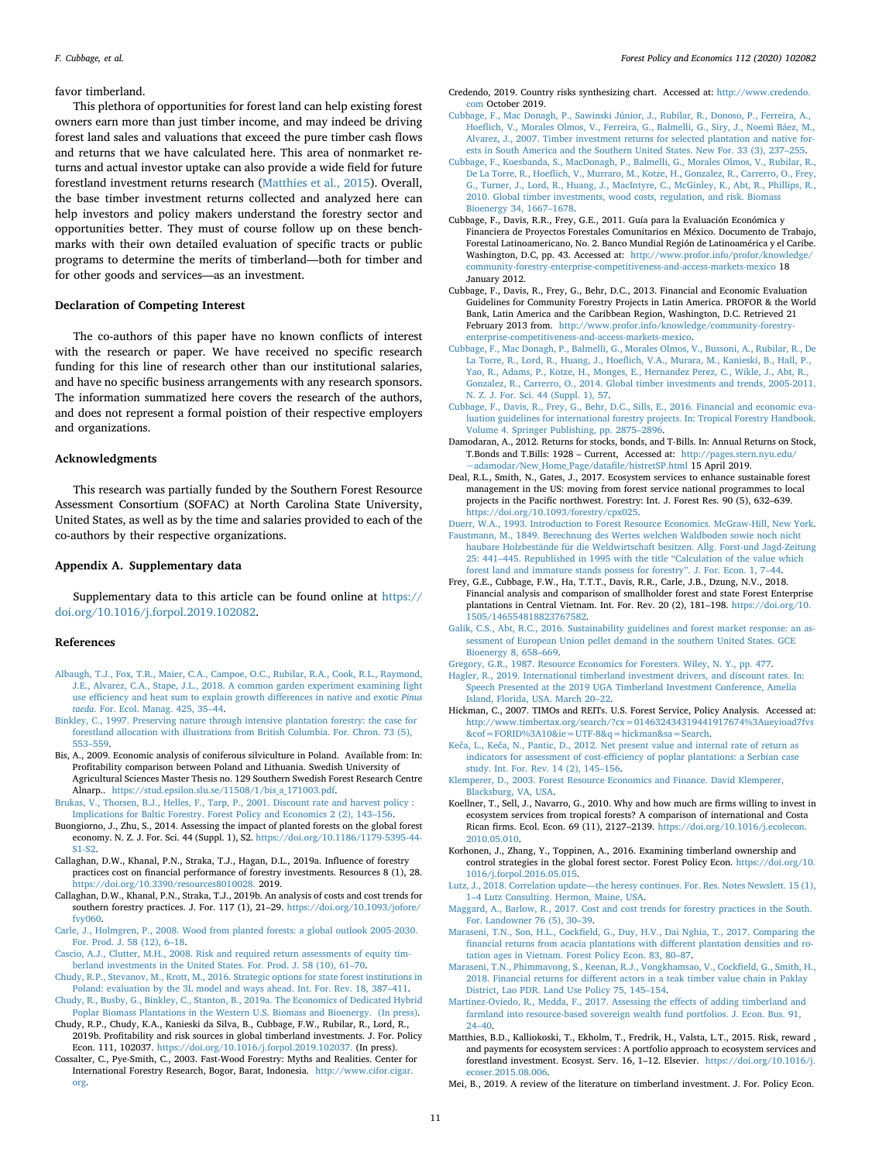#### favor timberland.

This plethora of opportunities for forest land can help existing forest owners earn more than just timber income, and may indeed be driving forest land sales and valuations that exceed the pure timber cash flows and returns that we have calculated here. This area of nonmarket returns and actual investor uptake can also provide a wide field for future forestland investment returns research [\(Matthies et al., 2015\)](#page-10-37). Overall, the base timber investment returns collected and analyzed here can help investors and policy makers understand the forestry sector and opportunities better. They must of course follow up on these benchmarks with their own detailed evaluation of specific tracts or public programs to determine the merits of timberland—both for timber and for other goods and services—as an investment.

## **Declaration of Competing Interest**

The co-authors of this paper have no known conflicts of interest with the research or paper. We have received no specific research funding for this line of research other than our institutional salaries, and have no specific business arrangements with any research sponsors. The information summatized here covers the research of the authors, and does not represent a formal poistion of their respective employers and organizations.

## **Acknowledgments**

This research was partially funded by the Southern Forest Resource Assessment Consortium (SOFAC) at North Carolina State University, United States, as well as by the time and salaries provided to each of the co-authors by their respective organizations.

## **Appendix A. Supplementary data**

Supplementary data to this article can be found online at [https://](https://doi.org/10.1016/j.forpol.2019.102082) [doi.org/10.1016/j.forpol.2019.102082.](https://doi.org/10.1016/j.forpol.2019.102082)

#### **References**

- <span id="page-10-27"></span>[Albaugh, T.J., Fox, T.R., Maier, C.A., Campoe, O.C., Rubilar, R.A., Cook, R.L., Raymond,](http://refhub.elsevier.com/S1389-9341(19)30256-4/rf0005) [J.E., Alvarez, C.A., Stape, J.L., 2018. A common garden experiment examining light](http://refhub.elsevier.com/S1389-9341(19)30256-4/rf0005) [use efficiency and heat sum to explain growth differences in native and exotic](http://refhub.elsevier.com/S1389-9341(19)30256-4/rf0005) *Pinus taeda*[. For. Ecol. Manag. 425, 35–44.](http://refhub.elsevier.com/S1389-9341(19)30256-4/rf0005)
- <span id="page-10-1"></span>[Binkley, C., 1997. Preserving nature through intensive plantation forestry: the case for](http://refhub.elsevier.com/S1389-9341(19)30256-4/rf0010) [forestland allocation with illustrations from British Columbia. For. Chron. 73 \(5\),](http://refhub.elsevier.com/S1389-9341(19)30256-4/rf0010) [553–559](http://refhub.elsevier.com/S1389-9341(19)30256-4/rf0010).
- <span id="page-10-15"></span>Bis, A., 2009. Economic analysis of coniferous silviculture in Poland. Available from: In: Profitability comparison between Poland and Lithuania. Swedish University of Agricultural Sciences Master Thesis no. 129 Southern Swedish Forest Research Centre Alnarp.. [https://stud.epsilon.slu.se/11508/1/bis\\_a\\_171003.pdf.](https://stud.epsilon.slu.se/11508/1/bis_a_171003.pdf)
- <span id="page-10-14"></span>[Brukas, V., Thorsen, B.J., Helles, F., Tarp, P., 2001. Discount rate and harvest policy :](http://refhub.elsevier.com/S1389-9341(19)30256-4/rf9063) [Implications for Baltic Forestry. Forest Policy and Economics 2 \(2\), 143–156](http://refhub.elsevier.com/S1389-9341(19)30256-4/rf9063).
- <span id="page-10-2"></span>Buongiorno, J., Zhu, S., 2014. Assessing the impact of planted forests on the global forest economy. N. Z. J. For. Sci. 44 (Suppl. 1), S2. [https://doi.org/10.1186/1179-5395-44-](https://doi.org/10.1186/1179-5395-44-S1-S2) [S1-S2](https://doi.org/10.1186/1179-5395-44-S1-S2).
- <span id="page-10-17"></span>Callaghan, D.W., Khanal, P.N., Straka, T.J., Hagan, D.L., 2019a. Influence of forestry practices cost on financial performance of forestry investments. Resources 8 (1), 28. [https://doi.org/10.3390/resources8010028.](https://doi.org/10.3390/resources8010028) 2019.
- <span id="page-10-29"></span>Callaghan, D.W., Khanal, P.N., Straka, T.J., 2019b. An analysis of costs and cost trends for southern forestry practices. J. For. 117 (1), 21–29. [https://doi.org/10.1093/jofore/](https://doi.org/10.1093/jofore/fvy060) [fvy060](https://doi.org/10.1093/jofore/fvy060).
- <span id="page-10-0"></span>[Carle, J., Holmgren, P., 2008. Wood from planted forests: a global outlook 2005-2030.](http://refhub.elsevier.com/S1389-9341(19)30256-4/rf0035) [For. Prod. J. 58 \(12\), 6–18](http://refhub.elsevier.com/S1389-9341(19)30256-4/rf0035).
- <span id="page-10-7"></span>[Cascio, A.J., Clutter, M.H., 2008. Risk and required return assessments of equity tim](http://refhub.elsevier.com/S1389-9341(19)30256-4/rf0040)[berland investments in the United States. For. Prod. J. 58 \(10\), 61–70](http://refhub.elsevier.com/S1389-9341(19)30256-4/rf0040).
- <span id="page-10-30"></span>[Chudy, R.P., Stevanov, M., Krott, M., 2016. Strategic options for state forest institutions in](http://refhub.elsevier.com/S1389-9341(19)30256-4/rf0045) [Poland: evaluation by the 3L model and ways ahead. Int. For. Rev. 18, 387–411.](http://refhub.elsevier.com/S1389-9341(19)30256-4/rf0045)
- <span id="page-10-21"></span>[Chudy, R., Busby, G., Binkley, C., Stanton, B., 2019a. The Economics of Dedicated Hybrid](http://refhub.elsevier.com/S1389-9341(19)30256-4/rf0050) [Poplar Biomass Plantations in the Western U.S. Biomass and Bioenergy. \(In press\)](http://refhub.elsevier.com/S1389-9341(19)30256-4/rf0050).
- <span id="page-10-31"></span>Chudy, R.P., Chudy, K.A., Kanieski da Silva, B., Cubbage, F.W., Rubilar, R., Lord, R., 2019b. Profitability and risk sources in global timberland investments. J. For. Policy Econ. 111, 102037. [https://doi.org/10.1016/j.forpol.2019.102037.](https://doi.org/10.1016/j.forpol.2019.102037) (In press).
- <span id="page-10-3"></span>Cossalter, C., Pye-Smith, C., 2003. Fast-Wood Forestry: Myths and Realities. Center for International Forestry Research, Bogor, Barat, Indonesia. [http://www.cifor.cigar.](http://www.cifor.cigar.org) [org.](http://www.cifor.cigar.org)
- <span id="page-10-26"></span>Credendo, 2019. Country risks synthesizing chart. Accessed at: [http://www.credendo.](http://www.credendo.com) [com](http://www.credendo.com) October 2019.
- <span id="page-10-4"></span>[Cubbage, F., Mac Donagh, P., Sawinski Júnior, J., Rubilar, R., Donoso, P., Ferreira, A.,](http://refhub.elsevier.com/S1389-9341(19)30256-4/rf0070) [Hoeflich, V., Morales Olmos, V., Ferreira, G., Balmelli, G., Siry, J., Noemi Báez, M.,](http://refhub.elsevier.com/S1389-9341(19)30256-4/rf0070) [Alvarez, J., 2007. Timber investment returns for selected plantation and native for](http://refhub.elsevier.com/S1389-9341(19)30256-4/rf0070)[ests in South America and the Southern United States. New For. 33 \(3\), 237–255](http://refhub.elsevier.com/S1389-9341(19)30256-4/rf0070).
- [Cubbage, F., Koesbanda, S., MacDonagh, P., Balmelli, G., Morales Olmos, V., Rubilar, R.,](http://refhub.elsevier.com/S1389-9341(19)30256-4/rf0075) [De La Torre, R., Hoeflich, V., Murraro, M., Kotze, H., Gonzalez, R., Carrerro, O., Frey,](http://refhub.elsevier.com/S1389-9341(19)30256-4/rf0075) [G., Turner, J., Lord, R., Huang, J., MacIntyre, C., McGinley, K., Abt, R., Phillips, R.,](http://refhub.elsevier.com/S1389-9341(19)30256-4/rf0075) [2010. Global timber investments, wood costs, regulation, and risk. Biomass](http://refhub.elsevier.com/S1389-9341(19)30256-4/rf0075) [Bioenergy 34, 1667–1678](http://refhub.elsevier.com/S1389-9341(19)30256-4/rf0075).
- <span id="page-10-23"></span>Cubbage, F., Davis, R.R., Frey, G.E., 2011. Guía para la Evaluación Económica y Financiera de Proyectos Forestales Comunitarios en México. Documento de Trabajo, Forestal Latinoamericano, No. 2. Banco Mundial Región de Latinoamérica y el Caribe. Washington, D.C, pp. 43. Accessed at: [http://www.profor.info/profor/knowledge/](http://www.profor.info/profor/knowledge/community-forestry-enterprise-competitiveness-and-access-markets-mexico) [community-forestry-enterprise-competitiveness-and-access-markets-mexico](http://www.profor.info/profor/knowledge/community-forestry-enterprise-competitiveness-and-access-markets-mexico) 18 January 2012.
- Cubbage, F., Davis, R., Frey, G., Behr, D.C., 2013. Financial and Economic Evaluation Guidelines for Community Forestry Projects in Latin America. PROFOR & the World Bank, Latin America and the Caribbean Region, Washington, D.C. Retrieved 21 February 2013 from. [http://www.profor.info/knowledge/community-forestry](http://www.profor.info/knowledge/community-forestry-enterprise-competitiveness-and-access-markets-mexico)[enterprise-competitiveness-and-access-markets-mexico](http://www.profor.info/knowledge/community-forestry-enterprise-competitiveness-and-access-markets-mexico).
- <span id="page-10-22"></span>[Cubbage, F., Mac Donagh, P., Balmelli, G., Morales Olmos, V., Bussoni, A., Rubilar, R., De](http://refhub.elsevier.com/S1389-9341(19)30256-4/rf0090) [La Torre, R., Lord, R., Huang, J., Hoeflich, V.A., Murara, M., Kanieski, B., Hall, P.,](http://refhub.elsevier.com/S1389-9341(19)30256-4/rf0090) [Yao, R., Adams, P., Kotze, H., Monges, E., Hernandez Perez, C., Wikle, J., Abt, R.,](http://refhub.elsevier.com/S1389-9341(19)30256-4/rf0090) [Gonzalez, R., Carrerro, O., 2014. Global timber investments and trends, 2005-2011.](http://refhub.elsevier.com/S1389-9341(19)30256-4/rf0090) [N. Z. J. For. Sci. 44 \(Suppl. 1\), 57.](http://refhub.elsevier.com/S1389-9341(19)30256-4/rf0090)
- <span id="page-10-24"></span>[Cubbage, F., Davis, R., Frey, G., Behr, D.C., Sills, E., 2016. Financial and economic eva](http://refhub.elsevier.com/S1389-9341(19)30256-4/rf0095)[luation guidelines for international forestry projects. In: Tropical Forestry Handbook.](http://refhub.elsevier.com/S1389-9341(19)30256-4/rf0095) [Volume 4. Springer Publishing, pp. 2875–2896.](http://refhub.elsevier.com/S1389-9341(19)30256-4/rf0095)
- <span id="page-10-33"></span>Damodaran, A., 2012. Returns for stocks, bonds, and T-Bills. In: Annual Returns on Stock, T.Bonds and T.Bills: 1928 – Current, Accessed at: [http://pages.stern.nyu.edu/](http://pages.stern.nyu.edu/~adamodar/New_Home_Page/datafile/histretSP.html) adamodar/New Home Page/datafile/histretSP.html 15 April 2019.
- <span id="page-10-36"></span>Deal, R.L., Smith, N., Gates, J., 2017. Ecosystem services to enhance sustainable forest management in the US: moving from forest service national programmes to local projects in the Pacific northwest. Forestry: Int. J. Forest Res. 90 (5), 632–639. [https://doi.org/10.1093/forestry/cpx025.](https://doi.org/10.1093/forestry/cpx025)

<span id="page-10-11"></span><span id="page-10-10"></span>[Duerr, W.A., 1993. Introduction to Forest Resource Economics. McGraw-Hill, New York.](http://refhub.elsevier.com/S1389-9341(19)30256-4/rf0110) [Faustmann, M., 1849. Berechnung des Wertes welchen Waldboden sowie noch nicht](http://refhub.elsevier.com/S1389-9341(19)30256-4/rf0115) [haubare Holzbestände für die Weldwirtschaft besitzen. Allg. Forst-und Jagd-Zeitung](http://refhub.elsevier.com/S1389-9341(19)30256-4/rf0115) [25: 441–445. Republished in 1995 with the title "Calculation of the value which](http://refhub.elsevier.com/S1389-9341(19)30256-4/rf0115) [forest land and immature stands possess for forestry". J. For. Econ. 1, 7–44.](http://refhub.elsevier.com/S1389-9341(19)30256-4/rf0115)

- <span id="page-10-20"></span>Frey, G.E., Cubbage, F.W., Ha, T.T.T., Davis, R.R., Carle, J.B., Dzung, N.V., 2018. Financial analysis and comparison of smallholder forest and state Forest Enterprise plantations in Central Vietnam. Int. For. Rev. 20 (2), 181–198. [https://doi.org/10.](https://doi.org/10.1505/146554818823767582) [1505/146554818823767582.](https://doi.org/10.1505/146554818823767582)
- <span id="page-10-28"></span>[Galik, C.S., Abt, R.C., 2016. Sustainability guidelines and forest market response: an as](http://refhub.elsevier.com/S1389-9341(19)30256-4/rf0125)[sessment of European Union pellet demand in the southern United States. GCE](http://refhub.elsevier.com/S1389-9341(19)30256-4/rf0125) [Bioenergy 8, 658–669](http://refhub.elsevier.com/S1389-9341(19)30256-4/rf0125).
- <span id="page-10-12"></span>[Gregory, G.R., 1987. Resource Economics for Foresters. Wiley, N. Y., pp. 477](http://refhub.elsevier.com/S1389-9341(19)30256-4/rf0130).
- <span id="page-10-34"></span>[Hagler, R., 2019. International timberland investment drivers, and discount rates. In:](http://refhub.elsevier.com/S1389-9341(19)30256-4/rf0135) [Speech Presented at the 2019 UGA Timberland Investment Conference, Amelia](http://refhub.elsevier.com/S1389-9341(19)30256-4/rf0135) [Island, Florida, USA. March 20–22](http://refhub.elsevier.com/S1389-9341(19)30256-4/rf0135).
- <span id="page-10-6"></span>Hickman, C., 2007. TIMOs and REITs. U.S. Forest Service, Policy Analysis. Accessed at: [http://www.timbertax.org/search/?cx=014632434319441917674%3Aueyioad7fvs](http://www.timbertax.org/search/?cx=014632434319441917674%3Aueyioad7fvs&cof=FORID%3A10&ie=UTF-8&q=hickman&sa=Search) [&cof=FORID%3A10&ie=UTF-8&q=hickman&sa=Search.](http://www.timbertax.org/search/?cx=014632434319441917674%3Aueyioad7fvs&cof=FORID%3A10&ie=UTF-8&q=hickman&sa=Search)
- <span id="page-10-16"></span>[Keča, L., Keča, N., Pantic, D., 2012. Net present value and internal rate of return as](http://refhub.elsevier.com/S1389-9341(19)30256-4/rf0145) [indicators for assessment of cost-efficiency of poplar plantations: a Serbian case](http://refhub.elsevier.com/S1389-9341(19)30256-4/rf0145) [study. Int. For. Rev. 14 \(2\), 145–156.](http://refhub.elsevier.com/S1389-9341(19)30256-4/rf0145)

<span id="page-10-13"></span>[Klemperer, D., 2003. Forest Resource Economics and Finance. David Klemperer,](http://refhub.elsevier.com/S1389-9341(19)30256-4/rf0150) [Blacksburg, VA, USA.](http://refhub.elsevier.com/S1389-9341(19)30256-4/rf0150)

- <span id="page-10-35"></span>Koellner, T., Sell, J., Navarro, G., 2010. Why and how much are firms willing to invest in ecosystem services from tropical forests? A comparison of international and Costa Rican firms. Ecol. Econ. 69 (11), 2127–2139. [https://doi.org/10.1016/j.ecolecon.](https://doi.org/10.1016/j.ecolecon.2010.05.010) [2010.05.010](https://doi.org/10.1016/j.ecolecon.2010.05.010).
- <span id="page-10-5"></span>Korhonen, J., Zhang, Y., Toppinen, A., 2016. Examining timberland ownership and control strategies in the global forest sector. Forest Policy Econ. [https://doi.org/10.](https://doi.org/10.1016/j.forpol.2016.05.015) [1016/j.forpol.2016.05.015](https://doi.org/10.1016/j.forpol.2016.05.015).
- <span id="page-10-32"></span>[Lutz, J., 2018. Correlation update—the heresy continues. For. Res. Notes Newslett. 15 \(1\),](http://refhub.elsevier.com/S1389-9341(19)30256-4/rf0165) [1–4 Lutz Consulting. Hermon, Maine, USA.](http://refhub.elsevier.com/S1389-9341(19)30256-4/rf0165)
- <span id="page-10-25"></span>[Maggard, A., Barlow, R., 2017. Cost and cost trends for forestry practices in the South.](http://refhub.elsevier.com/S1389-9341(19)30256-4/rf0170) [For. Landowner 76 \(5\), 30–39.](http://refhub.elsevier.com/S1389-9341(19)30256-4/rf0170)
- <span id="page-10-18"></span>[Maraseni, T.N., Son, H.L., Cockfield, G., Duy, H.V., Dai Nghia, T., 2017. Comparing the](http://refhub.elsevier.com/S1389-9341(19)30256-4/rf0175) [financial returns from acacia plantations with different plantation densities and ro](http://refhub.elsevier.com/S1389-9341(19)30256-4/rf0175)[tation ages in Vietnam. Forest Policy Econ. 83, 80–87](http://refhub.elsevier.com/S1389-9341(19)30256-4/rf0175).
- <span id="page-10-19"></span>[Maraseni, T.N., Phimmavong, S., Keenan, R.J., Vongkhamsao, V., Cockfield, G., Smith, H.,](http://refhub.elsevier.com/S1389-9341(19)30256-4/rf0180) [2018. Financial returns for different actors in a teak timber value chain in Paklay](http://refhub.elsevier.com/S1389-9341(19)30256-4/rf0180) [District, Lao PDR. Land Use Policy 75, 145–154](http://refhub.elsevier.com/S1389-9341(19)30256-4/rf0180).
- <span id="page-10-8"></span>[Martinez-Oviedo, R., Medda, F., 2017. Assessing the effects of adding timberland and](http://refhub.elsevier.com/S1389-9341(19)30256-4/rf0185) [farmland into resource-based sovereign wealth fund portfolios. J. Econ. Bus. 91,](http://refhub.elsevier.com/S1389-9341(19)30256-4/rf0185) [24–40](http://refhub.elsevier.com/S1389-9341(19)30256-4/rf0185).
- <span id="page-10-37"></span>Matthies, B.D., Kalliokoski, T., Ekholm, T., Fredrik, H., Valsta, L.T., 2015. Risk, reward , and payments for ecosystem services : A portfolio approach to ecosystem services and forestland investment. Ecosyst. Serv. 16, 1–12. Elsevier. [https://doi.org/10.1016/j.](https://doi.org/10.1016/j.ecoser.2015.08.006) [ecoser.2015.08.006.](https://doi.org/10.1016/j.ecoser.2015.08.006)
- <span id="page-10-9"></span>Mei, B., 2019. A review of the literature on timberland investment. J. For. Policy Econ.